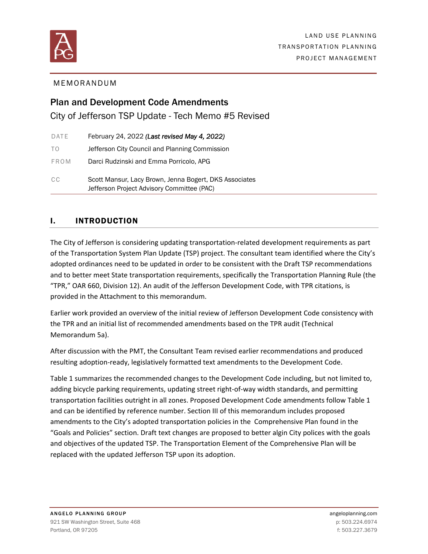

## MEMORANDUM

# Plan and Development Code Amendments City of Jefferson TSP Update - Tech Memo #5 Revised

| DATE | February 24, 2022 (Last revised May 4, 2022)                                                         |
|------|------------------------------------------------------------------------------------------------------|
| TO.  | Jefferson City Council and Planning Commission                                                       |
| FROM | Darci Rudzinski and Emma Porricolo, APG                                                              |
| CC.  | Scott Mansur, Lacy Brown, Jenna Bogert, DKS Associates<br>Jefferson Project Advisory Committee (PAC) |

# I. INTRODUCTION

The City of Jefferson is considering updating transportation-related development requirements as part of the Transportation System Plan Update (TSP) project. The consultant team identified where the City's adopted ordinances need to be updated in order to be consistent with the Draft TSP recommendations and to better meet State transportation requirements, specifically the Transportation Planning Rule (the "TPR," OAR 660, Division 12). An audit of the Jefferson Development Code, with TPR citations, is provided in the Attachment to this memorandum.

Earlier work provided an overview of the initial review of Jefferson Development Code consistency with the TPR and an initial list of recommended amendments based on the TPR audit (Technical Memorandum 5a).

After discussion with the PMT, the Consultant Team revised earlier recommendations and produced resulting adoption‐ready, legislatively formatted text amendments to the Development Code.

Table 1 summarizes the recommended changes to the Development Code including, but not limited to, adding bicycle parking requirements, updating street right‐of‐way width standards, and permitting transportation facilities outright in all zones. Proposed Development Code amendments follow Table 1 and can be identified by reference number. Section III of this memorandum includes proposed amendments to the City's adopted transportation policies in the Comprehensive Plan found in the "Goals and Policies" section. Draft text changes are proposed to better algin City polices with the goals and objectives of the updated TSP. The Transportation Element of the Comprehensive Plan will be replaced with the updated Jefferson TSP upon its adoption.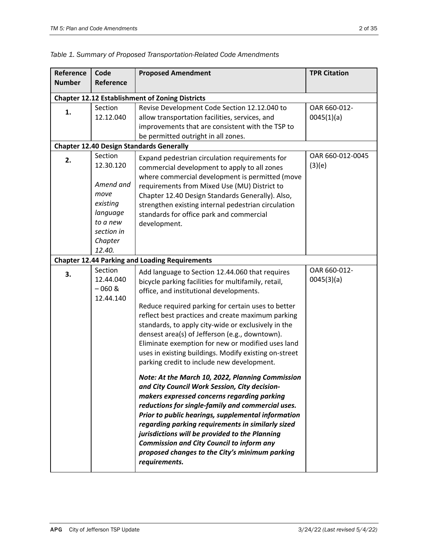| Reference     | Code                                                                                                             | <b>Proposed Amendment</b>                                                                                                                                                                                                                                                                                                                                                                                                                                                                                                                                                                                                                                                                                                                                                                                                                                                                                                                                                                                                      | <b>TPR Citation</b>        |
|---------------|------------------------------------------------------------------------------------------------------------------|--------------------------------------------------------------------------------------------------------------------------------------------------------------------------------------------------------------------------------------------------------------------------------------------------------------------------------------------------------------------------------------------------------------------------------------------------------------------------------------------------------------------------------------------------------------------------------------------------------------------------------------------------------------------------------------------------------------------------------------------------------------------------------------------------------------------------------------------------------------------------------------------------------------------------------------------------------------------------------------------------------------------------------|----------------------------|
| <b>Number</b> | Reference                                                                                                        |                                                                                                                                                                                                                                                                                                                                                                                                                                                                                                                                                                                                                                                                                                                                                                                                                                                                                                                                                                                                                                |                            |
|               |                                                                                                                  | <b>Chapter 12.12 Establishment of Zoning Districts</b>                                                                                                                                                                                                                                                                                                                                                                                                                                                                                                                                                                                                                                                                                                                                                                                                                                                                                                                                                                         |                            |
| 1.            | Section<br>12.12.040                                                                                             | Revise Development Code Section 12.12.040 to<br>allow transportation facilities, services, and<br>improvements that are consistent with the TSP to<br>be permitted outright in all zones.                                                                                                                                                                                                                                                                                                                                                                                                                                                                                                                                                                                                                                                                                                                                                                                                                                      | OAR 660-012-<br>0045(1)(a) |
|               |                                                                                                                  | <b>Chapter 12.40 Design Standards Generally</b>                                                                                                                                                                                                                                                                                                                                                                                                                                                                                                                                                                                                                                                                                                                                                                                                                                                                                                                                                                                |                            |
| 2.            | Section<br>12.30.120<br>Amend and<br>move<br>existing<br>language<br>to a new<br>section in<br>Chapter<br>12.40. | Expand pedestrian circulation requirements for<br>commercial development to apply to all zones<br>where commercial development is permitted (move<br>requirements from Mixed Use (MU) District to<br>Chapter 12.40 Design Standards Generally). Also,<br>strengthen existing internal pedestrian circulation<br>standards for office park and commercial<br>development.                                                                                                                                                                                                                                                                                                                                                                                                                                                                                                                                                                                                                                                       | OAR 660-012-0045<br>(3)(e) |
|               |                                                                                                                  | <b>Chapter 12.44 Parking and Loading Requirements</b>                                                                                                                                                                                                                                                                                                                                                                                                                                                                                                                                                                                                                                                                                                                                                                                                                                                                                                                                                                          |                            |
| 3.            | Section<br>12.44.040<br>$-060$ &<br>12.44.140                                                                    | Add language to Section 12.44.060 that requires<br>bicycle parking facilities for multifamily, retail,<br>office, and institutional developments.<br>Reduce required parking for certain uses to better<br>reflect best practices and create maximum parking<br>standards, to apply city-wide or exclusively in the<br>densest area(s) of Jefferson (e.g., downtown).<br>Eliminate exemption for new or modified uses land<br>uses in existing buildings. Modify existing on-street<br>parking credit to include new development.<br>Note: At the March 10, 2022, Planning Commission<br>and City Council Work Session, City decision-<br>makers expressed concerns regarding parking<br>reductions for single-family and commercial uses.<br>Prior to public hearings, supplemental information<br>regarding parking requirements in similarly sized<br>jurisdictions will be provided to the Planning<br><b>Commission and City Council to inform any</b><br>proposed changes to the City's minimum parking<br>requirements. | OAR 660-012-<br>0045(3)(a) |

*Table 1. Summary of Proposed Transportation-Related Code Amendments*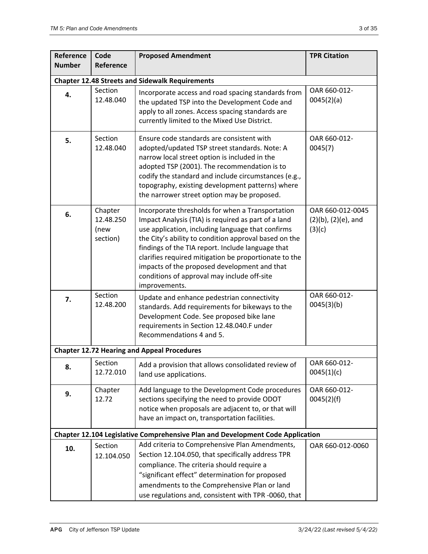| Reference     | Code                                                   | <b>Proposed Amendment</b>                                                                                                                                                                                                                                                                                                                                                                                                                           | <b>TPR Citation</b>                                     |  |  |
|---------------|--------------------------------------------------------|-----------------------------------------------------------------------------------------------------------------------------------------------------------------------------------------------------------------------------------------------------------------------------------------------------------------------------------------------------------------------------------------------------------------------------------------------------|---------------------------------------------------------|--|--|
| <b>Number</b> | Reference                                              |                                                                                                                                                                                                                                                                                                                                                                                                                                                     |                                                         |  |  |
|               | <b>Chapter 12.48 Streets and Sidewalk Requirements</b> |                                                                                                                                                                                                                                                                                                                                                                                                                                                     |                                                         |  |  |
| 4.            | Section<br>12.48.040                                   | Incorporate access and road spacing standards from<br>the updated TSP into the Development Code and<br>apply to all zones. Access spacing standards are<br>currently limited to the Mixed Use District.                                                                                                                                                                                                                                             | OAR 660-012-<br>0045(2)(a)                              |  |  |
| 5.            | Section<br>12.48.040                                   | Ensure code standards are consistent with<br>adopted/updated TSP street standards. Note: A<br>narrow local street option is included in the<br>adopted TSP (2001). The recommendation is to<br>codify the standard and include circumstances (e.g.,<br>topography, existing development patterns) where<br>the narrower street option may be proposed.                                                                                              | OAR 660-012-<br>0045(7)                                 |  |  |
| 6.            | Chapter<br>12.48.250<br>(new<br>section)               | Incorporate thresholds for when a Transportation<br>Impact Analysis (TIA) is required as part of a land<br>use application, including language that confirms<br>the City's ability to condition approval based on the<br>findings of the TIA report. Include language that<br>clarifies required mitigation be proportionate to the<br>impacts of the proposed development and that<br>conditions of approval may include off-site<br>improvements. | OAR 660-012-0045<br>$(2)(b)$ , $(2)(e)$ , and<br>(3)(c) |  |  |
| 7.            | Section<br>12.48.200                                   | Update and enhance pedestrian connectivity<br>standards. Add requirements for bikeways to the<br>Development Code. See proposed bike lane<br>requirements in Section 12.48.040.F under<br>Recommendations 4 and 5.                                                                                                                                                                                                                                  | OAR 660-012-<br>0045(3)(b)                              |  |  |
|               |                                                        | <b>Chapter 12.72 Hearing and Appeal Procedures</b>                                                                                                                                                                                                                                                                                                                                                                                                  |                                                         |  |  |
| 8.            | Section<br>12.72.010                                   | Add a provision that allows consolidated review of<br>land use applications.                                                                                                                                                                                                                                                                                                                                                                        | OAR 660-012-<br>0045(1)(c)                              |  |  |
| 9.            | Chapter<br>12.72                                       | Add language to the Development Code procedures<br>sections specifying the need to provide ODOT<br>notice when proposals are adjacent to, or that will<br>have an impact on, transportation facilities.                                                                                                                                                                                                                                             | OAR 660-012-<br>0045(2)(f)                              |  |  |
|               |                                                        | <b>Chapter 12.104 Legislative Comprehensive Plan and Development Code Application</b>                                                                                                                                                                                                                                                                                                                                                               |                                                         |  |  |
| 10.           | Section<br>12.104.050                                  | Add criteria to Comprehensive Plan Amendments,<br>Section 12.104.050, that specifically address TPR<br>compliance. The criteria should require a<br>"significant effect" determination for proposed<br>amendments to the Comprehensive Plan or land                                                                                                                                                                                                 | OAR 660-012-0060                                        |  |  |
|               |                                                        | use regulations and, consistent with TPR -0060, that                                                                                                                                                                                                                                                                                                                                                                                                |                                                         |  |  |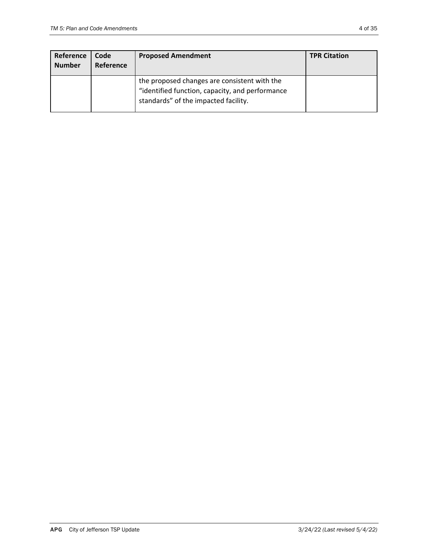| Reference<br><b>Number</b> | Code<br>Reference | <b>Proposed Amendment</b>                                                                                                               | <b>TPR Citation</b> |
|----------------------------|-------------------|-----------------------------------------------------------------------------------------------------------------------------------------|---------------------|
|                            |                   | the proposed changes are consistent with the<br>"identified function, capacity, and performance<br>standards" of the impacted facility. |                     |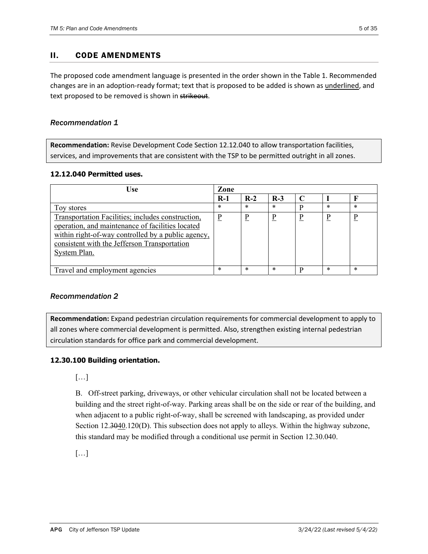## II. CODE AMENDMENTS

The proposed code amendment language is presented in the order shown in the Table 1. Recommended changes are in an adoption‐ready format; text that is proposed to be added is shown as underlined, and text proposed to be removed is shown in strikeout.

#### *Recommendation 1*

**Recommendation:** Revise Development Code Section 12.12.040 to allow transportation facilities, services, and improvements that are consistent with the TSP to be permitted outright in all zones.

#### **12.12.040 Permitted uses.**

| <b>Use</b>                                                                                                                                                                                                                  | Zone     |        |        |   |        |        |
|-----------------------------------------------------------------------------------------------------------------------------------------------------------------------------------------------------------------------------|----------|--------|--------|---|--------|--------|
|                                                                                                                                                                                                                             | $R-1$    | $R-2$  | $R-3$  |   |        |        |
| Toy stores                                                                                                                                                                                                                  | $\ast$   | $\ast$ | $\ast$ | D | $\ast$ | *      |
| Transportation Facilities; includes construction,<br>operation, and maintenance of facilities located<br>within right-of-way controlled by a public agency,<br>consistent with the Jefferson Transportation<br>System Plan. | <u>P</u> | D      |        | D | D      | D      |
| Travel and employment agencies                                                                                                                                                                                              | $\ast$   | $\ast$ | $\ast$ | D | $\ast$ | $\ast$ |

## *Recommendation 2*

**Recommendation:** Expand pedestrian circulation requirements for commercial development to apply to all zones where commercial development is permitted. Also, strengthen existing internal pedestrian circulation standards for office park and commercial development.

#### **12.30.100 Building orientation.**

[…]

B. Off-street parking, driveways, or other vehicular circulation shall not be located between a building and the street right-of-way. Parking areas shall be on the side or rear of the building, and when adjacent to a public right-of-way, shall be screened with landscaping, as provided under Section  $12.3040.120(D)$ . This subsection does not apply to alleys. Within the highway subzone, this standard may be modified through a conditional use permit in Section 12.30.040.

[…]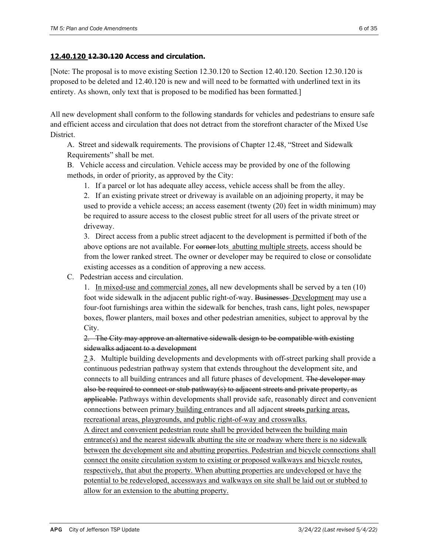[Note: The proposal is to move existing Section 12.30.120 to Section 12.40.120. Section 12.30.120 is proposed to be deleted and 12.40.120 is new and will need to be formatted with underlined text in its entirety. As shown, only text that is proposed to be modified has been formatted.]

All new development shall conform to the following standards for vehicles and pedestrians to ensure safe and efficient access and circulation that does not detract from the storefront character of the Mixed Use District.

A. Street and sidewalk requirements. The provisions of Chapter 12.48, "Street and Sidewalk Requirements" shall be met.

B. Vehicle access and circulation. Vehicle access may be provided by one of the following methods, in order of priority, as approved by the City:

1. If a parcel or lot has adequate alley access, vehicle access shall be from the alley.

2. If an existing private street or driveway is available on an adjoining property, it may be used to provide a vehicle access; an access easement (twenty (20) feet in width minimum) may be required to assure access to the closest public street for all users of the private street or driveway.

3. Direct access from a public street adjacent to the development is permitted if both of the above options are not available. For corner-lots abutting multiple streets, access should be from the lower ranked street. The owner or developer may be required to close or consolidate existing accesses as a condition of approving a new access.

C. Pedestrian access and circulation.

1. In mixed-use and commercial zones, all new developments shall be served by a ten (10) foot wide sidewalk in the adjacent public right-of-way. Businesses Development may use a four-foot furnishings area within the sidewalk for benches, trash cans, light poles, newspaper boxes, flower planters, mail boxes and other pedestrian amenities, subject to approval by the City.

## 2. The City may approve an alternative sidewalk design to be compatible with existing sidewalks adjacent to a development

2 3. Multiple building developments and developments with off-street parking shall provide a continuous pedestrian pathway system that extends throughout the development site, and connects to all building entrances and all future phases of development. The developer may also be required to connect or stub pathway(s) to adjacent streets and private property, as applicable. Pathways within developments shall provide safe, reasonably direct and convenient connections between primary building entrances and all adjacent streets parking areas, recreational areas, playgrounds, and public right-of-way and crosswalks.

A direct and convenient pedestrian route shall be provided between the building main entrance(s) and the nearest sidewalk abutting the site or roadway where there is no sidewalk between the development site and abutting properties. Pedestrian and bicycle connections shall connect the onsite circulation system to existing or proposed walkways and bicycle routes, respectively, that abut the property. When abutting properties are undeveloped or have the potential to be redeveloped, accessways and walkways on site shall be laid out or stubbed to allow for an extension to the abutting property.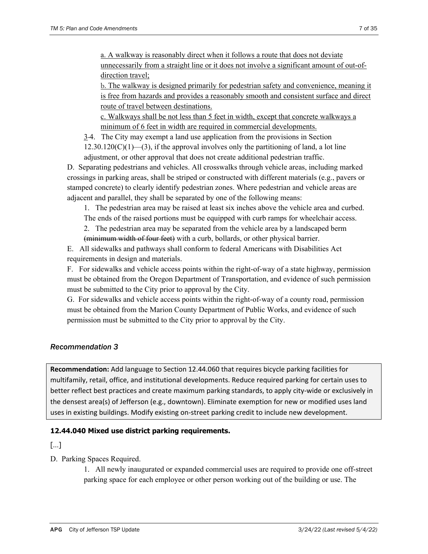a. A walkway is reasonably direct when it follows a route that does not deviate unnecessarily from a straight line or it does not involve a significant amount of out-ofdirection travel;

b. The walkway is designed primarily for pedestrian safety and convenience, meaning it is free from hazards and provides a reasonably smooth and consistent surface and direct route of travel between destinations.

c. Walkways shall be not less than 5 feet in width, except that concrete walkways a minimum of 6 feet in width are required in commercial developments.

3 4. The City may exempt a land use application from the provisions in Section

 $12.30.120(C)(1)$ —(3), if the approval involves only the partitioning of land, a lot line adjustment, or other approval that does not create additional pedestrian traffic.

D. Separating pedestrians and vehicles. All crosswalks through vehicle areas, including marked crossings in parking areas, shall be striped or constructed with different materials (e.g., pavers or stamped concrete) to clearly identify pedestrian zones. Where pedestrian and vehicle areas are adjacent and parallel, they shall be separated by one of the following means:

1. The pedestrian area may be raised at least six inches above the vehicle area and curbed.

The ends of the raised portions must be equipped with curb ramps for wheelchair access.

2. The pedestrian area may be separated from the vehicle area by a landscaped berm

(minimum width of four feet) with a curb, bollards, or other physical barrier.

E. All sidewalks and pathways shall conform to federal Americans with Disabilities Act requirements in design and materials.

F. For sidewalks and vehicle access points within the right-of-way of a state highway, permission must be obtained from the Oregon Department of Transportation, and evidence of such permission must be submitted to the City prior to approval by the City.

G. For sidewalks and vehicle access points within the right-of-way of a county road, permission must be obtained from the Marion County Department of Public Works, and evidence of such permission must be submitted to the City prior to approval by the City.

# *Recommendation 3*

**Recommendation:** Add language to Section 12.44.060 that requires bicycle parking facilities for multifamily, retail, office, and institutional developments. Reduce required parking for certain uses to better reflect best practices and create maximum parking standards, to apply city-wide or exclusively in the densest area(s) of Jefferson (e.g., downtown). Eliminate exemption for new or modified uses land uses in existing buildings. Modify existing on‐street parking credit to include new development.

## **12.44.040 Mixed use district parking requirements.**

[…]

D. Parking Spaces Required.

1. All newly inaugurated or expanded commercial uses are required to provide one off-street parking space for each employee or other person working out of the building or use. The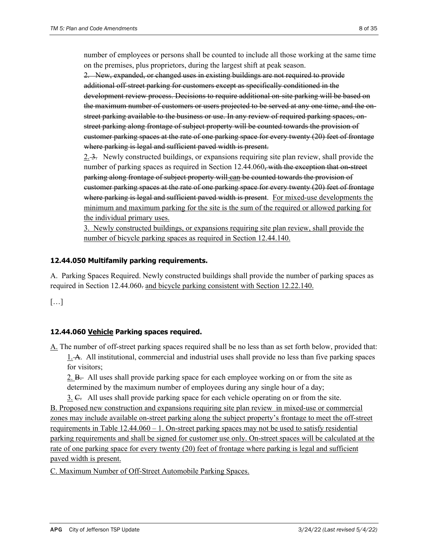number of employees or persons shall be counted to include all those working at the same time on the premises, plus proprietors, during the largest shift at peak season.

2. New, expanded, or changed uses in existing buildings are not required to provide additional off-street parking for customers except as specifically conditioned in the development review process. Decisions to require additional on-site parking will be based on the maximum number of customers or users projected to be served at any one time, and the onstreet parking available to the business or use. In any review of required parking spaces, onstreet parking along frontage of subject property will be counted towards the provision of customer parking spaces at the rate of one parking space for every twenty (20) feet of frontage where parking is legal and sufficient paved width is present.

2. 3. Newly constructed buildings, or expansions requiring site plan review, shall provide the number of parking spaces as required in Section 12.44.060, with the exception that on-street parking along frontage of subject property will can be counted towards the provision of customer parking spaces at the rate of one parking space for every twenty (20) feet of frontage where parking is legal and sufficient paved width is present. For mixed-use developments the minimum and maximum parking for the site is the sum of the required or allowed parking for the individual primary uses.

3. Newly constructed buildings, or expansions requiring site plan review, shall provide the number of bicycle parking spaces as required in Section 12.44.140.

#### **12.44.050 Multifamily parking requirements.**

A. Parking Spaces Required. Newly constructed buildings shall provide the number of parking spaces as required in Section 12.44.060. and bicycle parking consistent with Section 12.22.140.

[…]

## **12.44.060 Vehicle Parking spaces required.**

A. The number of off-street parking spaces required shall be no less than as set forth below, provided that: 1. A. All institutional, commercial and industrial uses shall provide no less than five parking spaces for visitors;

2. B. All uses shall provide parking space for each employee working on or from the site as determined by the maximum number of employees during any single hour of a day;

3. C. All uses shall provide parking space for each vehicle operating on or from the site. B. Proposed new construction and expansions requiring site plan review in mixed-use or commercial zones may include available on-street parking along the subject property's frontage to meet the off-street requirements in Table  $12.44.060 - 1$ . On-street parking spaces may not be used to satisfy residential parking requirements and shall be signed for customer use only. On-street spaces will be calculated at the rate of one parking space for every twenty (20) feet of frontage where parking is legal and sufficient paved width is present.

C. Maximum Number of Off-Street Automobile Parking Spaces.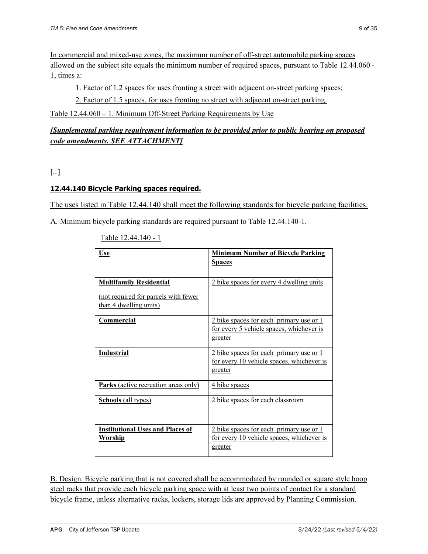In commercial and mixed-use zones, the maximum number of off-street automobile parking spaces allowed on the subject site equals the minimum number of required spaces, pursuant to Table 12.44.060 - 1, times a:

1. Factor of 1.2 spaces for uses fronting a street with adjacent on-street parking spaces;

2. Factor of 1.5 spaces, for uses fronting no street with adjacent on-street parking.

Table 12.44.060 – 1. Minimum Off-Street Parking Requirements by Use

# *[Supplemental parking requirement information to be provided prior to public hearing on proposed code amendments. SEE ATTACHMENT]*

[…]

# **12.44.140 Bicycle Parking spaces required.**

The uses listed in Table 12.44.140 shall meet the following standards for bicycle parking facilities.

A*.* Minimum bicycle parking standards are required pursuant to Table 12.44.140-1.

| <u>Use</u>                                                            | <b>Minimum Number of Bicycle Parking</b><br><b>Spaces</b>                                       |
|-----------------------------------------------------------------------|-------------------------------------------------------------------------------------------------|
| <b>Multifamily Residential</b>                                        | 2 bike spaces for every 4 dwelling units                                                        |
| <u>(not required for parcels with fewer</u><br>than 4 dwelling units) |                                                                                                 |
| <b>Commercial</b>                                                     | 2 bike spaces for each primary use or 1<br>for every 5 vehicle spaces, whichever is<br>greater  |
| <b>Industrial</b>                                                     | 2 bike spaces for each primary use or 1<br>for every 10 vehicle spaces, whichever is<br>greater |
| Parks (active recreation areas only)                                  | <u>4 bike spaces</u>                                                                            |
| <b>Schools</b> (all types)                                            | 2 bike spaces for each classroom                                                                |
| <b>Institutional Uses and Places of</b><br>Worship                    | 2 bike spaces for each primary use or 1<br>for every 10 vehicle spaces, whichever is<br>greater |

Table 12.44.140 - 1

B. Design. Bicycle parking that is not covered shall be accommodated by rounded or square style hoop steel racks that provide each bicycle parking space with at least two points of contact for a standard bicycle frame, unless alternative racks, lockers, storage lids are approved by Planning Commission.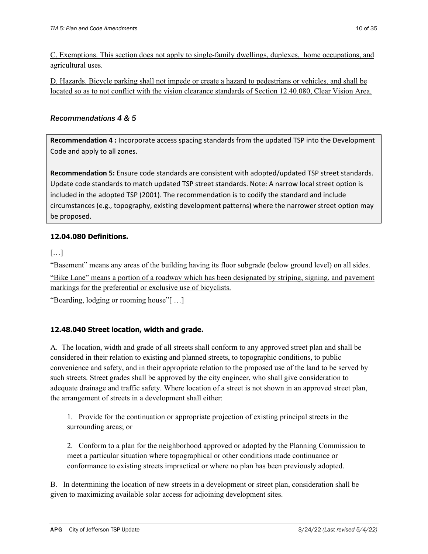C. Exemptions. This section does not apply to single-family dwellings, duplexes, home occupations, and agricultural uses.

D. Hazards. Bicycle parking shall not impede or create a hazard to pedestrians or vehicles, and shall be located so as to not conflict with the vision clearance standards of Section 12.40.080, Clear Vision Area.

## *Recommendations 4 & 5*

**Recommendation 4 :** Incorporate access spacing standards from the updated TSP into the Development Code and apply to all zones.

**Recommendation 5:** Ensure code standards are consistent with adopted/updated TSP street standards. Update code standards to match updated TSP street standards. Note: A narrow local street option is included in the adopted TSP (2001). The recommendation is to codify the standard and include circumstances (e.g., topography, existing development patterns) where the narrower street option may be proposed.

# **12.04.080 Definitions.**

[…]

"Basement" means any areas of the building having its floor subgrade (below ground level) on all sides.

"Bike Lane" means a portion of a roadway which has been designated by striping, signing, and pavement markings for the preferential or exclusive use of bicyclists.

"Boarding, lodging or rooming house"[ …]

## **12.48.040 Street location, width and grade.**

A. The location, width and grade of all streets shall conform to any approved street plan and shall be considered in their relation to existing and planned streets, to topographic conditions, to public convenience and safety, and in their appropriate relation to the proposed use of the land to be served by such streets. Street grades shall be approved by the city engineer, who shall give consideration to adequate drainage and traffic safety. Where location of a street is not shown in an approved street plan, the arrangement of streets in a development shall either:

1. Provide for the continuation or appropriate projection of existing principal streets in the surrounding areas; or

2. Conform to a plan for the neighborhood approved or adopted by the Planning Commission to meet a particular situation where topographical or other conditions made continuance or conformance to existing streets impractical or where no plan has been previously adopted.

B. In determining the location of new streets in a development or street plan, consideration shall be given to maximizing available solar access for adjoining development sites.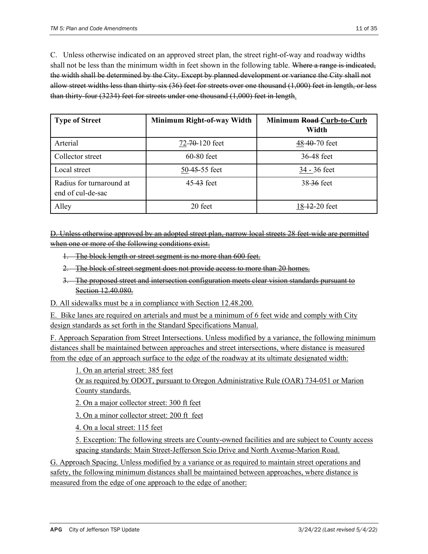C. Unless otherwise indicated on an approved street plan, the street right-of-way and roadway widths shall not be less than the minimum width in feet shown in the following table. Where a range is indicated, the width shall be determined by the City. Except by planned development or variance the City shall not allow street widths less than thirty-six (36) feet for streets over one thousand (1,000) feet in length, or less than thirty-four (3234) feet for streets under one thousand (1,000) feet in length.

| <b>Type of Street</b>                         | Minimum Right-of-way Width | Minimum Road-Curb-to-Curb<br>Width |
|-----------------------------------------------|----------------------------|------------------------------------|
| Arterial                                      | 72-70-120 feet             | 48-40-70 feet                      |
| Collector street                              | $60-80$ feet               | 36-48 feet                         |
| Local street                                  | 50-45-55 feet              | 34 - 36 feet                       |
| Radius for turnaround at<br>end of cul-de-sac | 45.43 feet                 | 38-36 feet                         |
| Alley                                         | 20 feet                    | 18-12-20 feet                      |

D. Unless otherwise approved by an adopted street plan, narrow local streets 28 feet-wide are permitted when one or more of the following conditions exist.

- 1. The block length or street segment is no more than 600 feet.
- 2. The block of street segment does not provide access to more than 20 homes.
- 3. The proposed street and intersection configuration meets clear vision standards pursuant to Section 12.40.080.
- D. All sidewalks must be a in compliance with Section 12.48.200.

E. Bike lanes are required on arterials and must be a minimum of 6 feet wide and comply with City design standards as set forth in the Standard Specifications Manual.

F. Approach Separation from Street Intersections. Unless modified by a variance, the following minimum distances shall be maintained between approaches and street intersections, where distance is measured from the edge of an approach surface to the edge of the roadway at its ultimate designated width:

1. On an arterial street: 385 feet

Or as required by ODOT, pursuant to Oregon Administrative Rule (OAR) 734-051 or Marion County standards.

2. On a major collector street: 300 ft feet

3. On a minor collector street: 200 ft feet

4. On a local street: 115 feet

5. Exception: The following streets are County-owned facilities and are subject to County access spacing standards: Main Street-Jefferson Scio Drive and North Avenue-Marion Road.

G. Approach Spacing. Unless modified by a variance or as required to maintain street operations and safety, the following minimum distances shall be maintained between approaches, where distance is measured from the edge of one approach to the edge of another: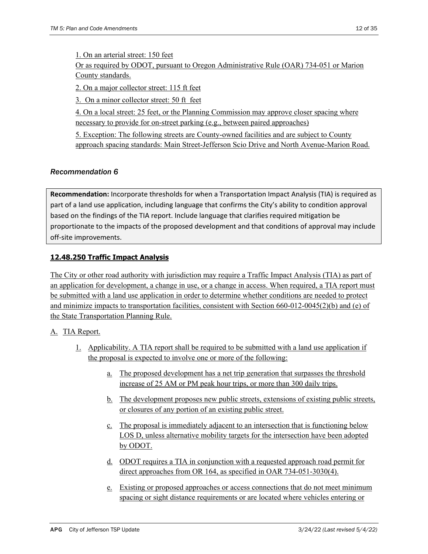1. On an arterial street: 150 feet

Or as required by ODOT, pursuant to Oregon Administrative Rule (OAR) 734-051 or Marion County standards.

2. On a major collector street: 115 ft feet

3. On a minor collector street: 50 ft feet

4. On a local street: 25 feet, or the Planning Commission may approve closer spacing where necessary to provide for on-street parking (e.g., between paired approaches)

5. Exception: The following streets are County-owned facilities and are subject to County approach spacing standards: Main Street-Jefferson Scio Drive and North Avenue-Marion Road.

## *Recommendation 6*

**Recommendation:** Incorporate thresholds for when a Transportation Impact Analysis (TIA) is required as part of a land use application, including language that confirms the City's ability to condition approval based on the findings of the TIA report. Include language that clarifies required mitigation be proportionate to the impacts of the proposed development and that conditions of approval may include off‐site improvements.

## **12.48.250 Traffic Impact Analysis**

The City or other road authority with jurisdiction may require a Traffic Impact Analysis (TIA) as part of an application for development, a change in use, or a change in access. When required, a TIA report must be submitted with a land use application in order to determine whether conditions are needed to protect and minimize impacts to transportation facilities, consistent with Section 660-012-0045(2)(b) and (e) of the State Transportation Planning Rule.

## A. TIA Report.

- 1. Applicability. A TIA report shall be required to be submitted with a land use application if the proposal is expected to involve one or more of the following:
	- a. The proposed development has a net trip generation that surpasses the threshold increase of 25 AM or PM peak hour trips, or more than 300 daily trips.
	- b. The development proposes new public streets, extensions of existing public streets, or closures of any portion of an existing public street.
	- c. The proposal is immediately adjacent to an intersection that is functioning below LOS D, unless alternative mobility targets for the intersection have been adopted by ODOT.
	- d. ODOT requires a TIA in conjunction with a requested approach road permit for direct approaches from OR 164, as specified in OAR 734-051-3030(4).
	- e. Existing or proposed approaches or access connections that do not meet minimum spacing or sight distance requirements or are located where vehicles entering or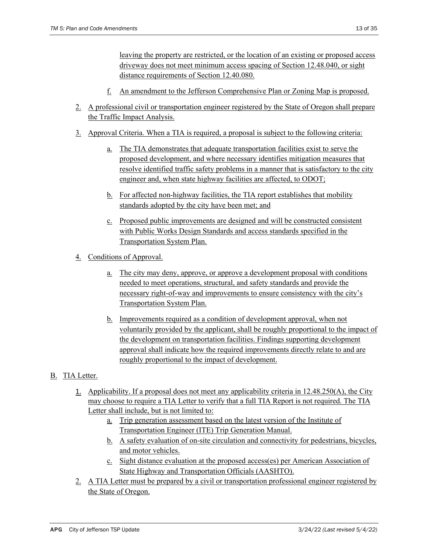leaving the property are restricted, or the location of an existing or proposed access driveway does not meet minimum access spacing of Section 12.48.040, or sight distance requirements of Section 12.40.080.

- f. An amendment to the Jefferson Comprehensive Plan or Zoning Map is proposed.
- 2. A professional civil or transportation engineer registered by the State of Oregon shall prepare the Traffic Impact Analysis.
- 3. Approval Criteria. When a TIA is required, a proposal is subject to the following criteria:
	- a. The TIA demonstrates that adequate transportation facilities exist to serve the proposed development, and where necessary identifies mitigation measures that resolve identified traffic safety problems in a manner that is satisfactory to the city engineer and, when state highway facilities are affected, to ODOT;
	- b. For affected non-highway facilities, the TIA report establishes that mobility standards adopted by the city have been met; and
	- c. Proposed public improvements are designed and will be constructed consistent with Public Works Design Standards and access standards specified in the Transportation System Plan.
- 4. Conditions of Approval.
	- a. The city may deny, approve, or approve a development proposal with conditions needed to meet operations, structural, and safety standards and provide the necessary right-of-way and improvements to ensure consistency with the city's Transportation System Plan.
	- b. Improvements required as a condition of development approval, when not voluntarily provided by the applicant, shall be roughly proportional to the impact of the development on transportation facilities. Findings supporting development approval shall indicate how the required improvements directly relate to and are roughly proportional to the impact of development.

## B. TIA Letter.

- 1. Applicability. If a proposal does not meet any applicability criteria in 12.48.250(A), the City may choose to require a TIA Letter to verify that a full TIA Report is not required. The TIA Letter shall include, but is not limited to:
	- a. Trip generation assessment based on the latest version of the Institute of Transportation Engineer (ITE) Trip Generation Manual.
	- b. A safety evaluation of on-site circulation and connectivity for pedestrians, bicycles, and motor vehicles.
	- c. Sight distance evaluation at the proposed access(es) per American Association of State Highway and Transportation Officials (AASHTO).
- 2. A TIA Letter must be prepared by a civil or transportation professional engineer registered by the State of Oregon.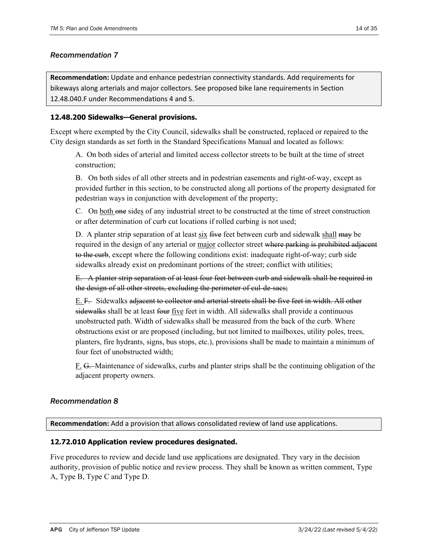#### *Recommendation 7*

**Recommendation:** Update and enhance pedestrian connectivity standards. Add requirements for bikeways along arterials and major collectors. See proposed bike lane requirements in Section 12.48.040.F under Recommendations 4 and 5.

#### **12.48.200 Sidewalks—General provisions.**

Except where exempted by the City Council, sidewalks shall be constructed, replaced or repaired to the City design standards as set forth in the Standard Specifications Manual and located as follows:

A. On both sides of arterial and limited access collector streets to be built at the time of street construction;

B. On both sides of all other streets and in pedestrian easements and right-of-way, except as provided further in this section, to be constructed along all portions of the property designated for pedestrian ways in conjunction with development of the property;

C. On both one sides of any industrial street to be constructed at the time of street construction or after determination of curb cut locations if rolled curbing is not used;

D. A planter strip separation of at least six five feet between curb and sidewalk shall may be required in the design of any arterial or major collector street where parking is prohibited adjacent to the curb, except where the following conditions exist: inadequate right-of-way; curb side sidewalks already exist on predominant portions of the street; conflict with utilities;

E. A planter strip separation of at least four feet between curb and sidewalk shall be required in the design of all other streets, excluding the perimeter of cul-de-sacs;

E. F. Sidewalks adjacent to collector and arterial streets shall be five feet in width. All other sidewalks shall be at least four five feet in width. All sidewalks shall provide a continuous unobstructed path. Width of sidewalks shall be measured from the back of the curb. Where obstructions exist or are proposed (including, but not limited to mailboxes, utility poles, trees, planters, fire hydrants, signs, bus stops, etc.), provisions shall be made to maintain a minimum of four feet of unobstructed width;

F. G. Maintenance of sidewalks, curbs and planter strips shall be the continuing obligation of the adjacent property owners.

## *Recommendation 8*

**Recommendation:** Add a provision that allows consolidated review of land use applications.

#### **12.72.010 Application review procedures designated.**

Five procedures to review and decide land use applications are designated. They vary in the decision authority, provision of public notice and review process. They shall be known as written comment, Type A, Type B, Type C and Type D.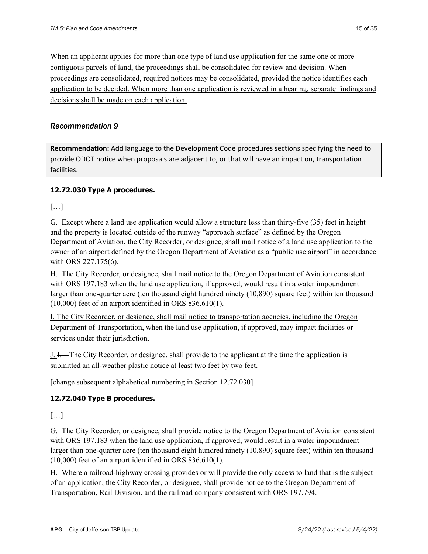When an applicant applies for more than one type of land use application for the same one or more contiguous parcels of land, the proceedings shall be consolidated for review and decision. When proceedings are consolidated, required notices may be consolidated, provided the notice identifies each application to be decided. When more than one application is reviewed in a hearing, separate findings and decisions shall be made on each application.

## *Recommendation 9*

**Recommendation:** Add language to the Development Code procedures sections specifying the need to provide ODOT notice when proposals are adjacent to, or that will have an impact on, transportation facilities.

## **12.72.030 Type A procedures.**

[…]

G. Except where a land use application would allow a structure less than thirty-five (35) feet in height and the property is located outside of the runway "approach surface" as defined by the Oregon Department of Aviation, the City Recorder, or designee, shall mail notice of a land use application to the owner of an airport defined by the Oregon Department of Aviation as a "public use airport" in accordance with ORS 227.175(6).

H. The City Recorder, or designee, shall mail notice to the Oregon Department of Aviation consistent with ORS 197.183 when the land use application, if approved, would result in a water impoundment larger than one-quarter acre (ten thousand eight hundred ninety (10,890) square feet) within ten thousand (10,000) feet of an airport identified in ORS 836.610(1).

I. The City Recorder, or designee, shall mail notice to transportation agencies, including the Oregon Department of Transportation, when the land use application, if approved, may impact facilities or services under their jurisdiction.

J. I. The City Recorder, or designee, shall provide to the applicant at the time the application is submitted an all-weather plastic notice at least two feet by two feet.

[change subsequent alphabetical numbering in Section 12.72.030]

## **12.72.040 Type B procedures.**

[…]

G. The City Recorder, or designee, shall provide notice to the Oregon Department of Aviation consistent with ORS 197.183 when the land use application, if approved, would result in a water impoundment larger than one-quarter acre (ten thousand eight hundred ninety (10,890) square feet) within ten thousand (10,000) feet of an airport identified in ORS 836.610(1).

H. Where a railroad-highway crossing provides or will provide the only access to land that is the subject of an application, the City Recorder, or designee, shall provide notice to the Oregon Department of Transportation, Rail Division, and the railroad company consistent with ORS 197.794.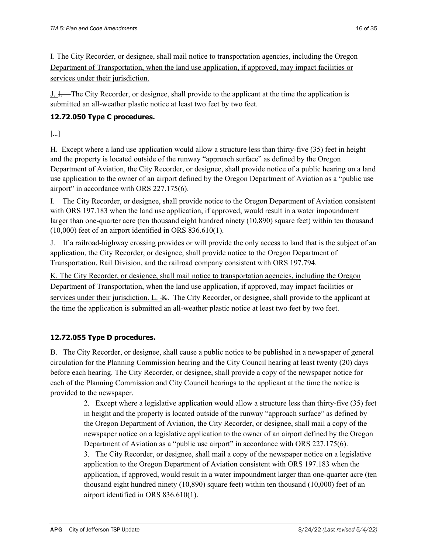I. The City Recorder, or designee, shall mail notice to transportation agencies, including the Oregon Department of Transportation, when the land use application, if approved, may impact facilities or services under their jurisdiction.

J. I. The City Recorder, or designee, shall provide to the applicant at the time the application is submitted an all-weather plastic notice at least two feet by two feet.

## **12.72.050 Type C procedures.**

[…]

H. Except where a land use application would allow a structure less than thirty-five (35) feet in height and the property is located outside of the runway "approach surface" as defined by the Oregon Department of Aviation, the City Recorder, or designee, shall provide notice of a public hearing on a land use application to the owner of an airport defined by the Oregon Department of Aviation as a "public use airport" in accordance with ORS 227.175(6).

I. The City Recorder, or designee, shall provide notice to the Oregon Department of Aviation consistent with ORS 197.183 when the land use application, if approved, would result in a water impoundment larger than one-quarter acre (ten thousand eight hundred ninety (10,890) square feet) within ten thousand (10,000) feet of an airport identified in ORS 836.610(1).

J. If a railroad-highway crossing provides or will provide the only access to land that is the subject of an application, the City Recorder, or designee, shall provide notice to the Oregon Department of Transportation, Rail Division, and the railroad company consistent with ORS 197.794.

K. The City Recorder, or designee, shall mail notice to transportation agencies, including the Oregon Department of Transportation, when the land use application, if approved, may impact facilities or services under their jurisdiction. L.  $\overline{K}$ . The City Recorder, or designee, shall provide to the applicant at the time the application is submitted an all-weather plastic notice at least two feet by two feet.

## **12.72.055 Type D procedures.**

B. The City Recorder, or designee, shall cause a public notice to be published in a newspaper of general circulation for the Planning Commission hearing and the City Council hearing at least twenty (20) days before each hearing. The City Recorder, or designee, shall provide a copy of the newspaper notice for each of the Planning Commission and City Council hearings to the applicant at the time the notice is provided to the newspaper.

> 2. Except where a legislative application would allow a structure less than thirty-five (35) feet in height and the property is located outside of the runway "approach surface" as defined by the Oregon Department of Aviation, the City Recorder, or designee, shall mail a copy of the newspaper notice on a legislative application to the owner of an airport defined by the Oregon Department of Aviation as a "public use airport" in accordance with ORS 227.175(6). 3. The City Recorder, or designee, shall mail a copy of the newspaper notice on a legislative

> application to the Oregon Department of Aviation consistent with ORS 197.183 when the application, if approved, would result in a water impoundment larger than one-quarter acre (ten thousand eight hundred ninety (10,890) square feet) within ten thousand (10,000) feet of an airport identified in ORS 836.610(1).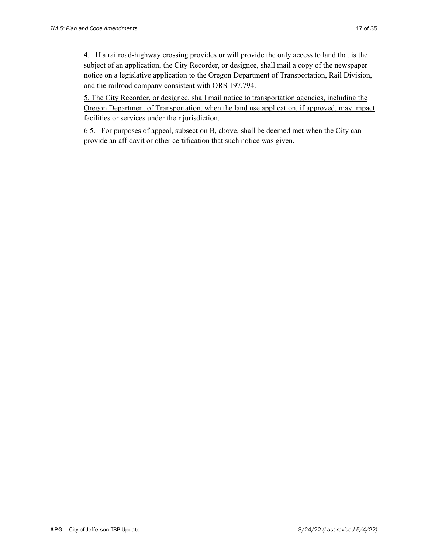4. If a railroad-highway crossing provides or will provide the only access to land that is the subject of an application, the City Recorder, or designee, shall mail a copy of the newspaper notice on a legislative application to the Oregon Department of Transportation, Rail Division, and the railroad company consistent with ORS 197.794.

5. The City Recorder, or designee, shall mail notice to transportation agencies, including the Oregon Department of Transportation, when the land use application, if approved, may impact facilities or services under their jurisdiction.

 $6.5.$  For purposes of appeal, subsection B, above, shall be deemed met when the City can provide an affidavit or other certification that such notice was given.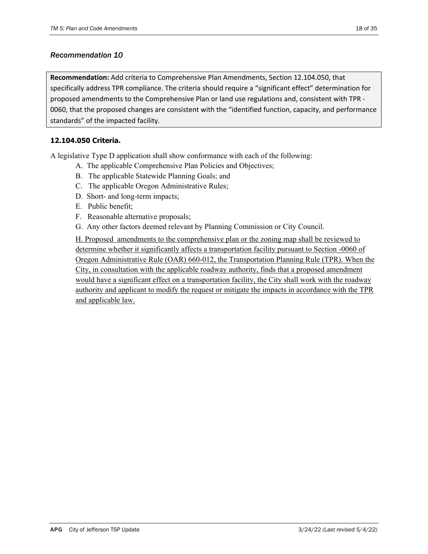#### *Recommendation 10*

**Recommendation:** Add criteria to Comprehensive Plan Amendments, Section 12.104.050, that specifically address TPR compliance. The criteria should require a "significant effect" determination for proposed amendments to the Comprehensive Plan or land use regulations and, consistent with TPR ‐ 0060, that the proposed changes are consistent with the "identified function, capacity, and performance standards" of the impacted facility.

## **12.104.050 Criteria.**

A legislative Type D application shall show conformance with each of the following:

- A. The applicable Comprehensive Plan Policies and Objectives;
- B. The applicable Statewide Planning Goals; and
- C. The applicable Oregon Administrative Rules;
- D. Short- and long-term impacts;
- E. Public benefit;
- F. Reasonable alternative proposals;
- G. Any other factors deemed relevant by Planning Commission or City Council.

H. Proposed amendments to the comprehensive plan or the zoning map shall be reviewed to determine whether it significantly affects a transportation facility pursuant to Section -0060 of Oregon Administrative Rule (OAR) 660-012, the Transportation Planning Rule (TPR). When the City, in consultation with the applicable roadway authority, finds that a proposed amendment would have a significant effect on a transportation facility, the City shall work with the roadway authority and applicant to modify the request or mitigate the impacts in accordance with the TPR and applicable law.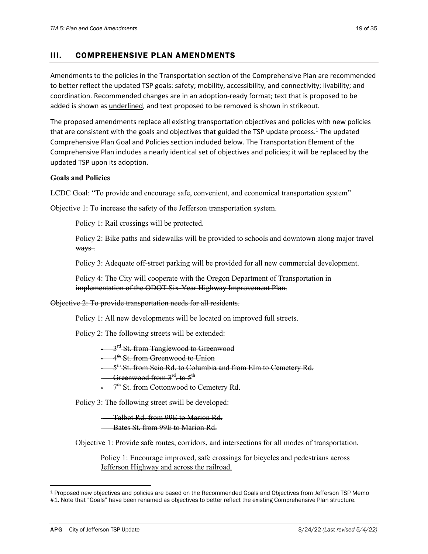## III. COMPREHENSIVE PLAN AMENDMENTS

Amendments to the policies in the Transportation section of the Comprehensive Plan are recommended to better reflect the updated TSP goals: safety; mobility, accessibility, and connectivity; livability; and coordination. Recommended changes are in an adoption‐ready format; text that is proposed to be added is shown as underlined, and text proposed to be removed is shown in strikeout.

The proposed amendments replace all existing transportation objectives and policies with new policies that are consistent with the goals and objectives that guided the TSP update process.<sup>1</sup> The updated Comprehensive Plan Goal and Policies section included below. The Transportation Element of the Comprehensive Plan includes a nearly identical set of objectives and policies; it will be replaced by the updated TSP upon its adoption.

#### **Goals and Policies**

LCDC Goal: "To provide and encourage safe, convenient, and economical transportation system"

Objective 1: To increase the safety of the Jefferson transportation system.

Policy 1: Rail crossings will be protected.

Policy 2: Bike paths and sidewalks will be provided to schools and downtown along major travel ways.

Policy 3: Adequate off-street parking will be provided for all new commercial development.

Policy 4: The City will cooperate with the Oregon Department of Transportation in implementation of the ODOT Six-Year Highway Improvement Plan.

Objective 2: To provide transportation needs for all residents.

Policy 1: All new developments will be located on improved full streets.

Policy 2: The following streets will be extended:

 $-3<sup>rd</sup>$  St. from Tanglewood to Greenwood

 $-4^{\text{th}}$  St. from Greenwood to Union

5<sup>th</sup> St. from Scio Rd. to Columbia and from Elm to Cemetery Rd.

Greenwood from  $3^{\text{rd}}$  to  $5^{\text{th}}$ 

<sup><sup>th</sup> St. from Cottonwood to Cemetery Rd.</sup>

Policy 3: The following street swill be developed:

‐ Talbot Rd. from 99E to Marion Rd.

**Bates St. from 99E to Marion Rd.** 

Objective 1: Provide safe routes, corridors, and intersections for all modes of transportation.

Policy 1: Encourage improved, safe crossings for bicycles and pedestrians across Jefferson Highway and across the railroad.

<sup>1</sup> Proposed new objectives and policies are based on the Recommended Goals and Objectives from Jefferson TSP Memo #1. Note that "Goals" have been renamed as objectives to better reflect the existing Comprehensive Plan structure.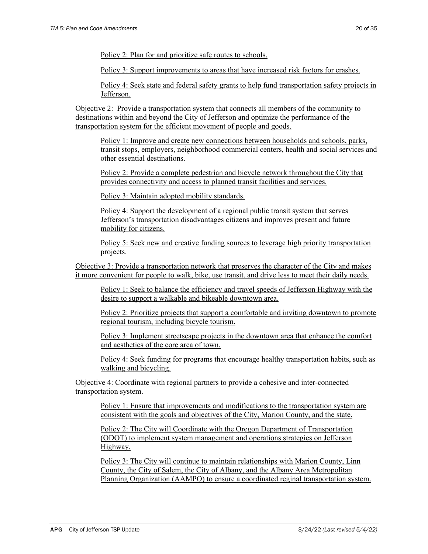Policy 2: Plan for and prioritize safe routes to schools.

Policy 3: Support improvements to areas that have increased risk factors for crashes.

Policy 4: Seek state and federal safety grants to help fund transportation safety projects in Jefferson.

Objective 2: Provide a transportation system that connects all members of the community to destinations within and beyond the City of Jefferson and optimize the performance of the transportation system for the efficient movement of people and goods.

Policy 1: Improve and create new connections between households and schools, parks, transit stops, employers, neighborhood commercial centers, health and social services and other essential destinations.

Policy 2: Provide a complete pedestrian and bicycle network throughout the City that provides connectivity and access to planned transit facilities and services.

Policy 3: Maintain adopted mobility standards.

Policy 4: Support the development of a regional public transit system that serves Jefferson's transportation disadvantages citizens and improves present and future mobility for citizens.

Policy 5: Seek new and creative funding sources to leverage high priority transportation projects.

Objective 3: Provide a transportation network that preserves the character of the City and makes it more convenient for people to walk, bike, use transit, and drive less to meet their daily needs.

Policy 1: Seek to balance the efficiency and travel speeds of Jefferson Highway with the desire to support a walkable and bikeable downtown area.

Policy 2: Prioritize projects that support a comfortable and inviting downtown to promote regional tourism, including bicycle tourism.

Policy 3: Implement streetscape projects in the downtown area that enhance the comfort and aesthetics of the core area of town.

Policy 4: Seek funding for programs that encourage healthy transportation habits, such as walking and bicycling.

Objective 4: Coordinate with regional partners to provide a cohesive and inter-connected transportation system.

Policy 1: Ensure that improvements and modifications to the transportation system are consistent with the goals and objectives of the City, Marion County, and the state.

Policy 2: The City will Coordinate with the Oregon Department of Transportation (ODOT) to implement system management and operations strategies on Jefferson Highway.

Policy 3: The City will continue to maintain relationships with Marion County, Linn County, the City of Salem, the City of Albany, and the Albany Area Metropolitan Planning Organization (AAMPO) to ensure a coordinated reginal transportation system.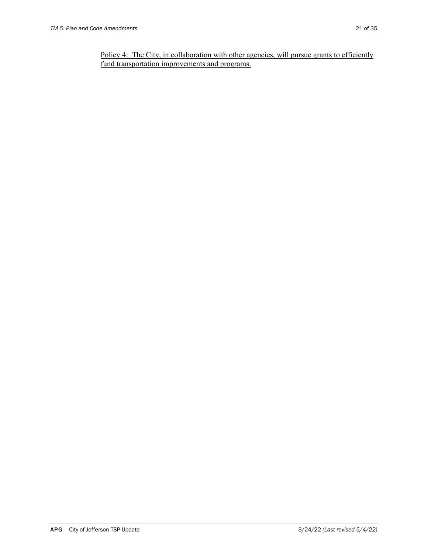Policy 4: The City, in collaboration with other agencies, will pursue grants to efficiently fund transportation improvements and programs.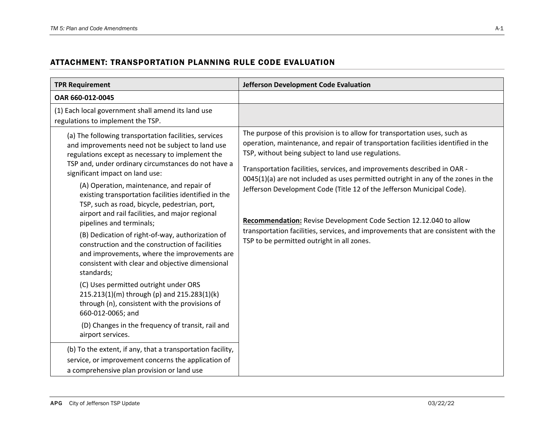# ATTACHMENT: TRANSPORTATION PLANNING RULE CODE EVALUATION

| <b>TPR Requirement</b>                                                                                                                                                                                                                                                                                                                                                                                                                                                                                                                                                                                                                                                                                                                                                                                                                                                                                                                                        | Jefferson Development Code Evaluation                                                                                                                                                                                                                                                                                                                                                                                                                                                                                                                                                                                                                                       |
|---------------------------------------------------------------------------------------------------------------------------------------------------------------------------------------------------------------------------------------------------------------------------------------------------------------------------------------------------------------------------------------------------------------------------------------------------------------------------------------------------------------------------------------------------------------------------------------------------------------------------------------------------------------------------------------------------------------------------------------------------------------------------------------------------------------------------------------------------------------------------------------------------------------------------------------------------------------|-----------------------------------------------------------------------------------------------------------------------------------------------------------------------------------------------------------------------------------------------------------------------------------------------------------------------------------------------------------------------------------------------------------------------------------------------------------------------------------------------------------------------------------------------------------------------------------------------------------------------------------------------------------------------------|
| OAR 660-012-0045                                                                                                                                                                                                                                                                                                                                                                                                                                                                                                                                                                                                                                                                                                                                                                                                                                                                                                                                              |                                                                                                                                                                                                                                                                                                                                                                                                                                                                                                                                                                                                                                                                             |
| (1) Each local government shall amend its land use<br>regulations to implement the TSP.                                                                                                                                                                                                                                                                                                                                                                                                                                                                                                                                                                                                                                                                                                                                                                                                                                                                       |                                                                                                                                                                                                                                                                                                                                                                                                                                                                                                                                                                                                                                                                             |
| (a) The following transportation facilities, services<br>and improvements need not be subject to land use<br>regulations except as necessary to implement the<br>TSP and, under ordinary circumstances do not have a<br>significant impact on land use:<br>(A) Operation, maintenance, and repair of<br>existing transportation facilities identified in the<br>TSP, such as road, bicycle, pedestrian, port,<br>airport and rail facilities, and major regional<br>pipelines and terminals;<br>(B) Dedication of right-of-way, authorization of<br>construction and the construction of facilities<br>and improvements, where the improvements are<br>consistent with clear and objective dimensional<br>standards;<br>(C) Uses permitted outright under ORS<br>215.213(1)(m) through (p) and 215.283(1)(k)<br>through (n), consistent with the provisions of<br>660-012-0065; and<br>(D) Changes in the frequency of transit, rail and<br>airport services. | The purpose of this provision is to allow for transportation uses, such as<br>operation, maintenance, and repair of transportation facilities identified in the<br>TSP, without being subject to land use regulations.<br>Transportation facilities, services, and improvements described in OAR -<br>0045(1)(a) are not included as uses permitted outright in any of the zones in the<br>Jefferson Development Code (Title 12 of the Jefferson Municipal Code).<br>Recommendation: Revise Development Code Section 12.12.040 to allow<br>transportation facilities, services, and improvements that are consistent with the<br>TSP to be permitted outright in all zones. |
| (b) To the extent, if any, that a transportation facility,<br>service, or improvement concerns the application of<br>a comprehensive plan provision or land use                                                                                                                                                                                                                                                                                                                                                                                                                                                                                                                                                                                                                                                                                                                                                                                               |                                                                                                                                                                                                                                                                                                                                                                                                                                                                                                                                                                                                                                                                             |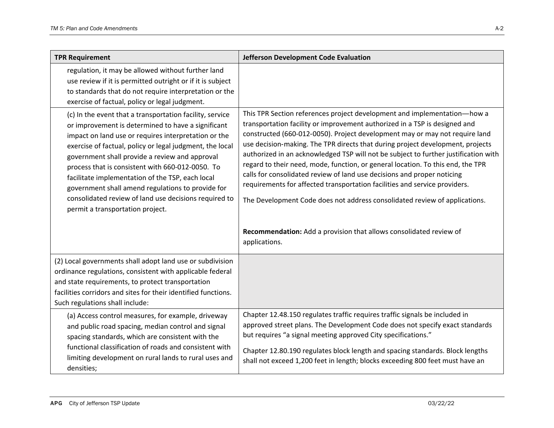| <b>TPR Requirement</b>                                                                                                                                                                                                                                                                                                                                                                                                                                                                                                                         | Jefferson Development Code Evaluation                                                                                                                                                                                                                                                                                                                                                                                                                                                                                                                                                                                                                                                                                                    |
|------------------------------------------------------------------------------------------------------------------------------------------------------------------------------------------------------------------------------------------------------------------------------------------------------------------------------------------------------------------------------------------------------------------------------------------------------------------------------------------------------------------------------------------------|------------------------------------------------------------------------------------------------------------------------------------------------------------------------------------------------------------------------------------------------------------------------------------------------------------------------------------------------------------------------------------------------------------------------------------------------------------------------------------------------------------------------------------------------------------------------------------------------------------------------------------------------------------------------------------------------------------------------------------------|
| regulation, it may be allowed without further land<br>use review if it is permitted outright or if it is subject<br>to standards that do not require interpretation or the<br>exercise of factual, policy or legal judgment.                                                                                                                                                                                                                                                                                                                   |                                                                                                                                                                                                                                                                                                                                                                                                                                                                                                                                                                                                                                                                                                                                          |
| (c) In the event that a transportation facility, service<br>or improvement is determined to have a significant<br>impact on land use or requires interpretation or the<br>exercise of factual, policy or legal judgment, the local<br>government shall provide a review and approval<br>process that is consistent with 660-012-0050. To<br>facilitate implementation of the TSP, each local<br>government shall amend regulations to provide for<br>consolidated review of land use decisions required to<br>permit a transportation project. | This TPR Section references project development and implementation-how a<br>transportation facility or improvement authorized in a TSP is designed and<br>constructed (660-012-0050). Project development may or may not require land<br>use decision-making. The TPR directs that during project development, projects<br>authorized in an acknowledged TSP will not be subject to further justification with<br>regard to their need, mode, function, or general location. To this end, the TPR<br>calls for consolidated review of land use decisions and proper noticing<br>requirements for affected transportation facilities and service providers.<br>The Development Code does not address consolidated review of applications. |
|                                                                                                                                                                                                                                                                                                                                                                                                                                                                                                                                                | Recommendation: Add a provision that allows consolidated review of<br>applications.                                                                                                                                                                                                                                                                                                                                                                                                                                                                                                                                                                                                                                                      |
| (2) Local governments shall adopt land use or subdivision<br>ordinance regulations, consistent with applicable federal<br>and state requirements, to protect transportation<br>facilities corridors and sites for their identified functions.<br>Such regulations shall include:                                                                                                                                                                                                                                                               |                                                                                                                                                                                                                                                                                                                                                                                                                                                                                                                                                                                                                                                                                                                                          |
| (a) Access control measures, for example, driveway<br>and public road spacing, median control and signal<br>spacing standards, which are consistent with the<br>functional classification of roads and consistent with<br>limiting development on rural lands to rural uses and<br>densities;                                                                                                                                                                                                                                                  | Chapter 12.48.150 regulates traffic requires traffic signals be included in<br>approved street plans. The Development Code does not specify exact standards<br>but requires "a signal meeting approved City specifications."<br>Chapter 12.80.190 regulates block length and spacing standards. Block lengths<br>shall not exceed 1,200 feet in length; blocks exceeding 800 feet must have an                                                                                                                                                                                                                                                                                                                                           |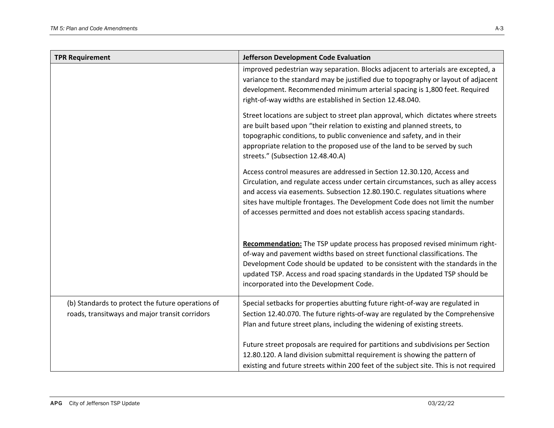| <b>TPR Requirement</b>                                                                              | Jefferson Development Code Evaluation                                                                                                                                                                                                                                                                                                                                                                   |
|-----------------------------------------------------------------------------------------------------|---------------------------------------------------------------------------------------------------------------------------------------------------------------------------------------------------------------------------------------------------------------------------------------------------------------------------------------------------------------------------------------------------------|
|                                                                                                     | improved pedestrian way separation. Blocks adjacent to arterials are excepted, a<br>variance to the standard may be justified due to topography or layout of adjacent<br>development. Recommended minimum arterial spacing is 1,800 feet. Required<br>right-of-way widths are established in Section 12.48.040.                                                                                         |
|                                                                                                     | Street locations are subject to street plan approval, which dictates where streets<br>are built based upon "their relation to existing and planned streets, to<br>topographic conditions, to public convenience and safety, and in their<br>appropriate relation to the proposed use of the land to be served by such<br>streets." (Subsection 12.48.40.A)                                              |
|                                                                                                     | Access control measures are addressed in Section 12.30.120, Access and<br>Circulation, and regulate access under certain circumstances, such as alley access<br>and access via easements. Subsection 12.80.190.C. regulates situations where<br>sites have multiple frontages. The Development Code does not limit the number<br>of accesses permitted and does not establish access spacing standards. |
|                                                                                                     | Recommendation: The TSP update process has proposed revised minimum right-<br>of-way and pavement widths based on street functional classifications. The<br>Development Code should be updated to be consistent with the standards in the<br>updated TSP. Access and road spacing standards in the Updated TSP should be<br>incorporated into the Development Code.                                     |
| (b) Standards to protect the future operations of<br>roads, transitways and major transit corridors | Special setbacks for properties abutting future right-of-way are regulated in<br>Section 12.40.070. The future rights-of-way are regulated by the Comprehensive<br>Plan and future street plans, including the widening of existing streets.                                                                                                                                                            |
|                                                                                                     | Future street proposals are required for partitions and subdivisions per Section<br>12.80.120. A land division submittal requirement is showing the pattern of<br>existing and future streets within 200 feet of the subject site. This is not required                                                                                                                                                 |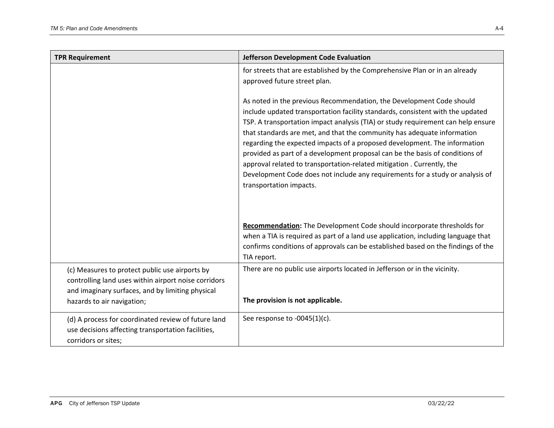| <b>TPR Requirement</b>                                                                                                                                                                   | <b>Jefferson Development Code Evaluation</b>                                                                                                                                                                                                                                                                                                                                                                                                                                                                                                                                                                                                                            |
|------------------------------------------------------------------------------------------------------------------------------------------------------------------------------------------|-------------------------------------------------------------------------------------------------------------------------------------------------------------------------------------------------------------------------------------------------------------------------------------------------------------------------------------------------------------------------------------------------------------------------------------------------------------------------------------------------------------------------------------------------------------------------------------------------------------------------------------------------------------------------|
|                                                                                                                                                                                          | for streets that are established by the Comprehensive Plan or in an already<br>approved future street plan.                                                                                                                                                                                                                                                                                                                                                                                                                                                                                                                                                             |
|                                                                                                                                                                                          | As noted in the previous Recommendation, the Development Code should<br>include updated transportation facility standards, consistent with the updated<br>TSP. A transportation impact analysis (TIA) or study requirement can help ensure<br>that standards are met, and that the community has adequate information<br>regarding the expected impacts of a proposed development. The information<br>provided as part of a development proposal can be the basis of conditions of<br>approval related to transportation-related mitigation. Currently, the<br>Development Code does not include any requirements for a study or analysis of<br>transportation impacts. |
|                                                                                                                                                                                          | Recommendation: The Development Code should incorporate thresholds for<br>when a TIA is required as part of a land use application, including language that<br>confirms conditions of approvals can be established based on the findings of the<br>TIA report.                                                                                                                                                                                                                                                                                                                                                                                                          |
| (c) Measures to protect public use airports by<br>controlling land uses within airport noise corridors<br>and imaginary surfaces, and by limiting physical<br>hazards to air navigation; | There are no public use airports located in Jefferson or in the vicinity.<br>The provision is not applicable.                                                                                                                                                                                                                                                                                                                                                                                                                                                                                                                                                           |
| (d) A process for coordinated review of future land<br>use decisions affecting transportation facilities,<br>corridors or sites;                                                         | See response to -0045(1)(c).                                                                                                                                                                                                                                                                                                                                                                                                                                                                                                                                                                                                                                            |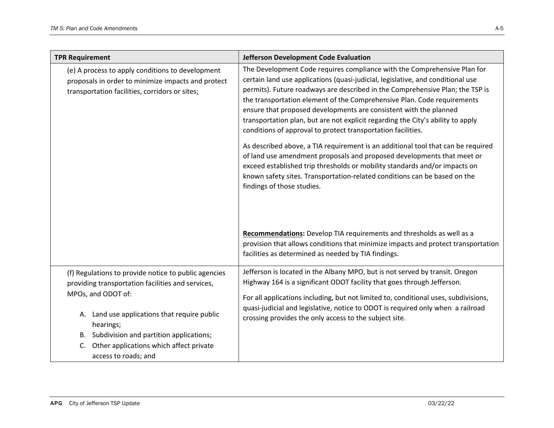| <b>TPR Requirement</b>                                                                                                                                                                                                                                                                                              | Jefferson Development Code Evaluation                                                                                                                                                                                                                                                                                                                                                                                                                                                                                                                                                                                                                                                                                                                                                                                                                                                                  |
|---------------------------------------------------------------------------------------------------------------------------------------------------------------------------------------------------------------------------------------------------------------------------------------------------------------------|--------------------------------------------------------------------------------------------------------------------------------------------------------------------------------------------------------------------------------------------------------------------------------------------------------------------------------------------------------------------------------------------------------------------------------------------------------------------------------------------------------------------------------------------------------------------------------------------------------------------------------------------------------------------------------------------------------------------------------------------------------------------------------------------------------------------------------------------------------------------------------------------------------|
| (e) A process to apply conditions to development<br>proposals in order to minimize impacts and protect<br>transportation facilities, corridors or sites;                                                                                                                                                            | The Development Code requires compliance with the Comprehensive Plan for<br>certain land use applications (quasi-judicial, legislative, and conditional use<br>permits). Future roadways are described in the Comprehensive Plan; the TSP is<br>the transportation element of the Comprehensive Plan. Code requirements<br>ensure that proposed developments are consistent with the planned<br>transportation plan, but are not explicit regarding the City's ability to apply<br>conditions of approval to protect transportation facilities.<br>As described above, a TIA requirement is an additional tool that can be required<br>of land use amendment proposals and proposed developments that meet or<br>exceed established trip thresholds or mobility standards and/or impacts on<br>known safety sites. Transportation-related conditions can be based on the<br>findings of those studies. |
|                                                                                                                                                                                                                                                                                                                     | Recommendations: Develop TIA requirements and thresholds as well as a<br>provision that allows conditions that minimize impacts and protect transportation<br>facilities as determined as needed by TIA findings.                                                                                                                                                                                                                                                                                                                                                                                                                                                                                                                                                                                                                                                                                      |
| (f) Regulations to provide notice to public agencies<br>providing transportation facilities and services,<br>MPOs, and ODOT of:<br>A. Land use applications that require public<br>hearings;<br>B. Subdivision and partition applications;<br>Other applications which affect private<br>C.<br>access to roads; and | Jefferson is located in the Albany MPO, but is not served by transit. Oregon<br>Highway 164 is a significant ODOT facility that goes through Jefferson.<br>For all applications including, but not limited to, conditional uses, subdivisions,<br>quasi-judicial and legislative, notice to ODOT is required only when a railroad<br>crossing provides the only access to the subject site.                                                                                                                                                                                                                                                                                                                                                                                                                                                                                                            |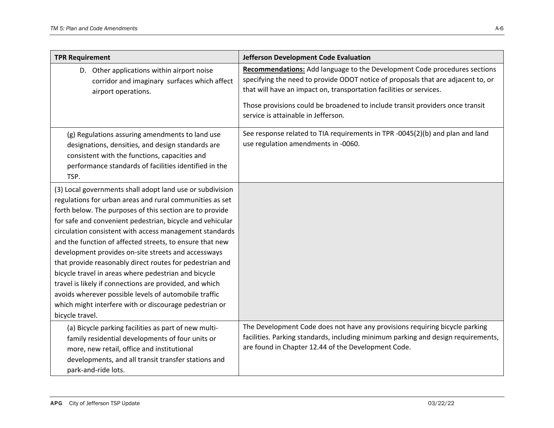| <b>TPR Requirement</b>                                                                                                                                                                                                                                                                                                                                                                                                                                                                                                                                                                                                                                                                                                                            | Jefferson Development Code Evaluation                                                                                                                                                                                                                                                                                                                        |
|---------------------------------------------------------------------------------------------------------------------------------------------------------------------------------------------------------------------------------------------------------------------------------------------------------------------------------------------------------------------------------------------------------------------------------------------------------------------------------------------------------------------------------------------------------------------------------------------------------------------------------------------------------------------------------------------------------------------------------------------------|--------------------------------------------------------------------------------------------------------------------------------------------------------------------------------------------------------------------------------------------------------------------------------------------------------------------------------------------------------------|
| D. Other applications within airport noise<br>corridor and imaginary surfaces which affect<br>airport operations.                                                                                                                                                                                                                                                                                                                                                                                                                                                                                                                                                                                                                                 | Recommendations: Add language to the Development Code procedures sections<br>specifying the need to provide ODOT notice of proposals that are adjacent to, or<br>that will have an impact on, transportation facilities or services.<br>Those provisions could be broadened to include transit providers once transit<br>service is attainable in Jefferson. |
| (g) Regulations assuring amendments to land use<br>designations, densities, and design standards are<br>consistent with the functions, capacities and<br>performance standards of facilities identified in the<br>TSP.                                                                                                                                                                                                                                                                                                                                                                                                                                                                                                                            | See response related to TIA requirements in TPR -0045(2)(b) and plan and land<br>use regulation amendments in -0060.                                                                                                                                                                                                                                         |
| (3) Local governments shall adopt land use or subdivision<br>regulations for urban areas and rural communities as set<br>forth below. The purposes of this section are to provide<br>for safe and convenient pedestrian, bicycle and vehicular<br>circulation consistent with access management standards<br>and the function of affected streets, to ensure that new<br>development provides on-site streets and accessways<br>that provide reasonably direct routes for pedestrian and<br>bicycle travel in areas where pedestrian and bicycle<br>travel is likely if connections are provided, and which<br>avoids wherever possible levels of automobile traffic<br>which might interfere with or discourage pedestrian or<br>bicycle travel. |                                                                                                                                                                                                                                                                                                                                                              |
| (a) Bicycle parking facilities as part of new multi-<br>family residential developments of four units or<br>more, new retail, office and institutional<br>developments, and all transit transfer stations and<br>park-and-ride lots.                                                                                                                                                                                                                                                                                                                                                                                                                                                                                                              | The Development Code does not have any provisions requiring bicycle parking<br>facilities. Parking standards, including minimum parking and design requirements,<br>are found in Chapter 12.44 of the Development Code.                                                                                                                                      |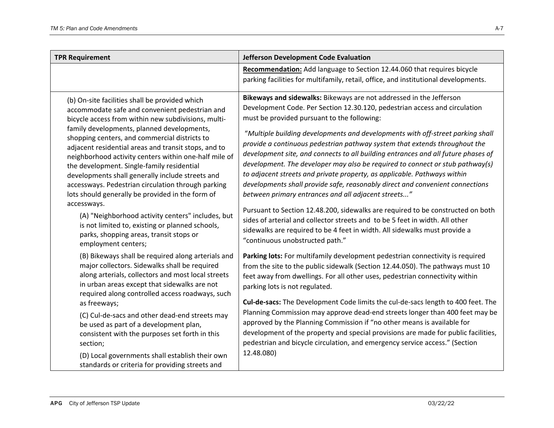| <b>TPR Requirement</b>                                                                                                                                                                                                                                                                                                                                                                                                                                                                                                                                                                                                                                                                                                                                | Jefferson Development Code Evaluation                                                                                                                                                                                                                                                                                                                                                                                                                                                                                                                                                                                                                                                                                                                                                                                                                                                                                                                                                                       |
|-------------------------------------------------------------------------------------------------------------------------------------------------------------------------------------------------------------------------------------------------------------------------------------------------------------------------------------------------------------------------------------------------------------------------------------------------------------------------------------------------------------------------------------------------------------------------------------------------------------------------------------------------------------------------------------------------------------------------------------------------------|-------------------------------------------------------------------------------------------------------------------------------------------------------------------------------------------------------------------------------------------------------------------------------------------------------------------------------------------------------------------------------------------------------------------------------------------------------------------------------------------------------------------------------------------------------------------------------------------------------------------------------------------------------------------------------------------------------------------------------------------------------------------------------------------------------------------------------------------------------------------------------------------------------------------------------------------------------------------------------------------------------------|
|                                                                                                                                                                                                                                                                                                                                                                                                                                                                                                                                                                                                                                                                                                                                                       | Recommendation: Add language to Section 12.44.060 that requires bicycle<br>parking facilities for multifamily, retail, office, and institutional developments.                                                                                                                                                                                                                                                                                                                                                                                                                                                                                                                                                                                                                                                                                                                                                                                                                                              |
| (b) On-site facilities shall be provided which<br>accommodate safe and convenient pedestrian and<br>bicycle access from within new subdivisions, multi-<br>family developments, planned developments,<br>shopping centers, and commercial districts to<br>adjacent residential areas and transit stops, and to<br>neighborhood activity centers within one-half mile of<br>the development. Single-family residential<br>developments shall generally include streets and<br>accessways. Pedestrian circulation through parking<br>lots should generally be provided in the form of<br>accessways.<br>(A) "Neighborhood activity centers" includes, but<br>is not limited to, existing or planned schools,<br>parks, shopping areas, transit stops or | Bikeways and sidewalks: Bikeways are not addressed in the Jefferson<br>Development Code. Per Section 12.30.120, pedestrian access and circulation<br>must be provided pursuant to the following:<br>"Multiple building developments and developments with off-street parking shall<br>provide a continuous pedestrian pathway system that extends throughout the<br>development site, and connects to all building entrances and all future phases of<br>development. The developer may also be required to connect or stub pathway(s)<br>to adjacent streets and private property, as applicable. Pathways within<br>developments shall provide safe, reasonably direct and convenient connections<br>between primary entrances and all adjacent streets"<br>Pursuant to Section 12.48.200, sidewalks are required to be constructed on both<br>sides of arterial and collector streets and to be 5 feet in width. All other<br>sidewalks are required to be 4 feet in width. All sidewalks must provide a |
| employment centers;<br>(B) Bikeways shall be required along arterials and<br>major collectors. Sidewalks shall be required<br>along arterials, collectors and most local streets<br>in urban areas except that sidewalks are not<br>required along controlled access roadways, such<br>as freeways;<br>(C) Cul-de-sacs and other dead-end streets may<br>be used as part of a development plan,<br>consistent with the purposes set forth in this<br>section;<br>(D) Local governments shall establish their own<br>standards or criteria for providing streets and                                                                                                                                                                                   | "continuous unobstructed path."<br>Parking lots: For multifamily development pedestrian connectivity is required<br>from the site to the public sidewalk (Section 12.44.050). The pathways must 10<br>feet away from dwellings. For all other uses, pedestrian connectivity within<br>parking lots is not regulated.<br>Cul-de-sacs: The Development Code limits the cul-de-sacs length to 400 feet. The<br>Planning Commission may approve dead-end streets longer than 400 feet may be<br>approved by the Planning Commission if "no other means is available for<br>development of the property and special provisions are made for public facilities,<br>pedestrian and bicycle circulation, and emergency service access." (Section<br>12.48.080)                                                                                                                                                                                                                                                      |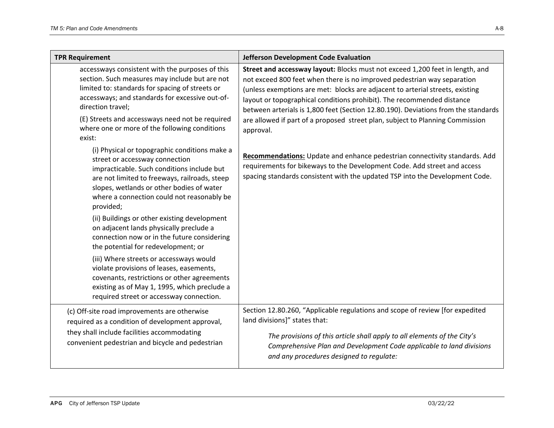| <b>TPR Requirement</b>                                                                                                                                                                                                                                                                                                                                                                                                                                                                                                                                                                                                                                                                                    | Jefferson Development Code Evaluation                                                                                                                                                                                                                                                                                                                                                                                                                                                                   |
|-----------------------------------------------------------------------------------------------------------------------------------------------------------------------------------------------------------------------------------------------------------------------------------------------------------------------------------------------------------------------------------------------------------------------------------------------------------------------------------------------------------------------------------------------------------------------------------------------------------------------------------------------------------------------------------------------------------|---------------------------------------------------------------------------------------------------------------------------------------------------------------------------------------------------------------------------------------------------------------------------------------------------------------------------------------------------------------------------------------------------------------------------------------------------------------------------------------------------------|
| accessways consistent with the purposes of this<br>section. Such measures may include but are not<br>limited to: standards for spacing of streets or<br>accessways; and standards for excessive out-of-<br>direction travel;<br>(E) Streets and accessways need not be required<br>where one or more of the following conditions<br>exist:                                                                                                                                                                                                                                                                                                                                                                | Street and accessway layout: Blocks must not exceed 1,200 feet in length, and<br>not exceed 800 feet when there is no improved pedestrian way separation<br>(unless exemptions are met: blocks are adjacent to arterial streets, existing<br>layout or topographical conditions prohibit). The recommended distance<br>between arterials is 1,800 feet (Section 12.80.190). Deviations from the standards<br>are allowed if part of a proposed street plan, subject to Planning Commission<br>approval. |
| (i) Physical or topographic conditions make a<br>street or accessway connection<br>impracticable. Such conditions include but<br>are not limited to freeways, railroads, steep<br>slopes, wetlands or other bodies of water<br>where a connection could not reasonably be<br>provided;<br>(ii) Buildings or other existing development<br>on adjacent lands physically preclude a<br>connection now or in the future considering<br>the potential for redevelopment; or<br>(iii) Where streets or accessways would<br>violate provisions of leases, easements,<br>covenants, restrictions or other agreements<br>existing as of May 1, 1995, which preclude a<br>required street or accessway connection. | Recommendations: Update and enhance pedestrian connectivity standards. Add<br>requirements for bikeways to the Development Code. Add street and access<br>spacing standards consistent with the updated TSP into the Development Code.                                                                                                                                                                                                                                                                  |
| (c) Off-site road improvements are otherwise<br>required as a condition of development approval,<br>they shall include facilities accommodating<br>convenient pedestrian and bicycle and pedestrian                                                                                                                                                                                                                                                                                                                                                                                                                                                                                                       | Section 12.80.260, "Applicable regulations and scope of review [for expedited<br>land divisions]" states that:<br>The provisions of this article shall apply to all elements of the City's<br>Comprehensive Plan and Development Code applicable to land divisions<br>and any procedures designed to regulate:                                                                                                                                                                                          |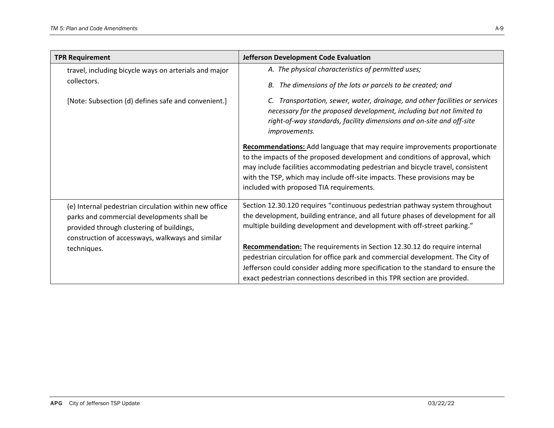| <b>TPR Requirement</b>                                                                                                                                                                               | Jefferson Development Code Evaluation                                                                                                                                                                                                                                                                                                                                       |
|------------------------------------------------------------------------------------------------------------------------------------------------------------------------------------------------------|-----------------------------------------------------------------------------------------------------------------------------------------------------------------------------------------------------------------------------------------------------------------------------------------------------------------------------------------------------------------------------|
| travel, including bicycle ways on arterials and major<br>collectors.                                                                                                                                 | A. The physical characteristics of permitted uses;<br>The dimensions of the lots or parcels to be created; and<br>В.                                                                                                                                                                                                                                                        |
| [Note: Subsection (d) defines safe and convenient.]                                                                                                                                                  | Transportation, sewer, water, drainage, and other facilities or services<br>necessary for the proposed development, including but not limited to<br>right-of-way standards, facility dimensions and on-site and off-site<br>improvements.                                                                                                                                   |
|                                                                                                                                                                                                      | <b>Recommendations:</b> Add language that may require improvements proportionate<br>to the impacts of the proposed development and conditions of approval, which<br>may include facilities accommodating pedestrian and bicycle travel, consistent<br>with the TSP, which may include off-site impacts. These provisions may be<br>included with proposed TIA requirements. |
| (e) Internal pedestrian circulation within new office<br>parks and commercial developments shall be<br>provided through clustering of buildings,<br>construction of accessways, walkways and similar | Section 12.30.120 requires "continuous pedestrian pathway system throughout<br>the development, building entrance, and all future phases of development for all<br>multiple building development and development with off-street parking."                                                                                                                                  |
| techniques.                                                                                                                                                                                          | Recommendation: The requirements in Section 12.30.12 do require internal<br>pedestrian circulation for office park and commercial development. The City of<br>Jefferson could consider adding more specification to the standard to ensure the<br>exact pedestrian connections described in this TPR section are provided.                                                  |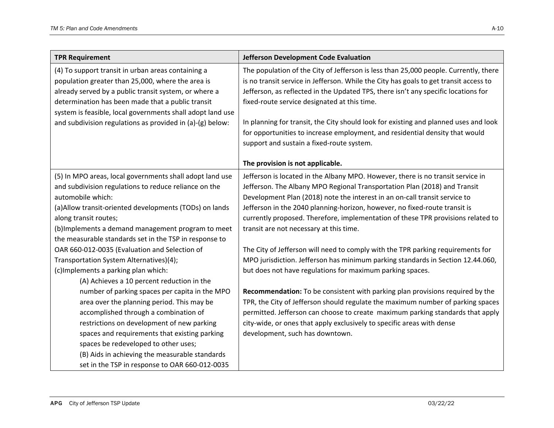| Jefferson Development Code Evaluation                                                                                                                                         |
|-------------------------------------------------------------------------------------------------------------------------------------------------------------------------------|
| The population of the City of Jefferson is less than 25,000 people. Currently, there<br>is no transit service in Jefferson. While the City has goals to get transit access to |
| Jefferson, as reflected in the Updated TPS, there isn't any specific locations for                                                                                            |
| fixed-route service designated at this time.                                                                                                                                  |
|                                                                                                                                                                               |
| In planning for transit, the City should look for existing and planned uses and look                                                                                          |
| for opportunities to increase employment, and residential density that would                                                                                                  |
| support and sustain a fixed-route system.                                                                                                                                     |
|                                                                                                                                                                               |
| The provision is not applicable.                                                                                                                                              |
| Jefferson is located in the Albany MPO. However, there is no transit service in                                                                                               |
| Jefferson. The Albany MPO Regional Transportation Plan (2018) and Transit                                                                                                     |
| Development Plan (2018) note the interest in an on-call transit service to                                                                                                    |
| Jefferson in the 2040 planning-horizon, however, no fixed-route transit is                                                                                                    |
| currently proposed. Therefore, implementation of these TPR provisions related to                                                                                              |
| transit are not necessary at this time.                                                                                                                                       |
|                                                                                                                                                                               |
| The City of Jefferson will need to comply with the TPR parking requirements for                                                                                               |
| MPO jurisdiction. Jefferson has minimum parking standards in Section 12.44.060,                                                                                               |
| but does not have regulations for maximum parking spaces.                                                                                                                     |
|                                                                                                                                                                               |
| Recommendation: To be consistent with parking plan provisions required by the                                                                                                 |
| TPR, the City of Jefferson should regulate the maximum number of parking spaces                                                                                               |
| permitted. Jefferson can choose to create maximum parking standards that apply                                                                                                |
| city-wide, or ones that apply exclusively to specific areas with dense                                                                                                        |
| development, such has downtown.                                                                                                                                               |
|                                                                                                                                                                               |
|                                                                                                                                                                               |
|                                                                                                                                                                               |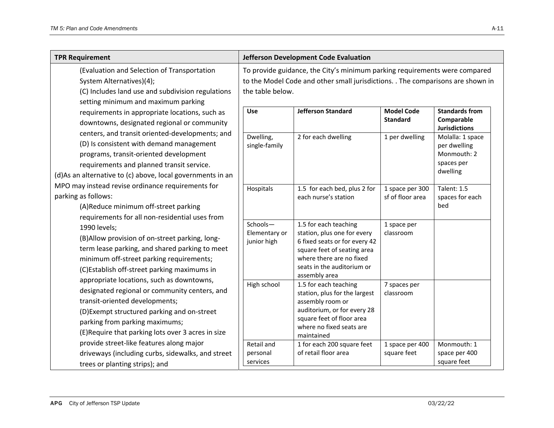| <b>TPR Requirement</b>                                                                                                                                                                                                                                                                                                                                                                                                                                                                                                   |                                          | Jefferson Development Code Evaluation                                                                                                                                                           |                                      |                                                                           |
|--------------------------------------------------------------------------------------------------------------------------------------------------------------------------------------------------------------------------------------------------------------------------------------------------------------------------------------------------------------------------------------------------------------------------------------------------------------------------------------------------------------------------|------------------------------------------|-------------------------------------------------------------------------------------------------------------------------------------------------------------------------------------------------|--------------------------------------|---------------------------------------------------------------------------|
| (Evaluation and Selection of Transportation<br>System Alternatives)(4);<br>(C) Includes land use and subdivision regulations<br>setting minimum and maximum parking<br>requirements in appropriate locations, such as<br>downtowns, designated regional or community<br>centers, and transit oriented-developments; and<br>(D) Is consistent with demand management<br>programs, transit-oriented development<br>requirements and planned transit service.<br>(d)As an alternative to (c) above, local governments in an | the table below.                         | To provide guidance, the City's minimum parking requirements were compared<br>to the Model Code and other small jurisdictions. . The comparisons are shown in                                   |                                      |                                                                           |
|                                                                                                                                                                                                                                                                                                                                                                                                                                                                                                                          | Use                                      | <b>Jefferson Standard</b>                                                                                                                                                                       | <b>Model Code</b><br><b>Standard</b> | <b>Standards from</b><br>Comparable<br><b>Jurisdictions</b>               |
|                                                                                                                                                                                                                                                                                                                                                                                                                                                                                                                          | Dwelling,<br>single-family               | 2 for each dwelling                                                                                                                                                                             | 1 per dwelling                       | Molalla: 1 space<br>per dwelling<br>Monmouth: 2<br>spaces per<br>dwelling |
| MPO may instead revise ordinance requirements for<br>parking as follows:<br>(A)Reduce minimum off-street parking<br>requirements for all non-residential uses from                                                                                                                                                                                                                                                                                                                                                       | Hospitals                                | 1.5 for each bed, plus 2 for<br>each nurse's station                                                                                                                                            | 1 space per 300<br>sf of floor area  | <b>Talent: 1.5</b><br>spaces for each<br>bed                              |
| 1990 levels;<br>(B)Allow provision of on-street parking, long-<br>term lease parking, and shared parking to meet<br>minimum off-street parking requirements;<br>(C)Establish off-street parking maximums in<br>appropriate locations, such as downtowns,<br>designated regional or community centers, and<br>transit-oriented developments;<br>(D) Exempt structured parking and on-street<br>parking from parking maximums;<br>(E) Require that parking lots over 3 acres in size                                       | Schools-<br>Elementary or<br>junior high | 1.5 for each teaching<br>station, plus one for every<br>6 fixed seats or for every 42<br>square feet of seating area<br>where there are no fixed<br>seats in the auditorium or<br>assembly area | 1 space per<br>classroom             |                                                                           |
|                                                                                                                                                                                                                                                                                                                                                                                                                                                                                                                          | High school                              | 1.5 for each teaching<br>station, plus for the largest<br>assembly room or<br>auditorium, or for every 28<br>square feet of floor area<br>where no fixed seats are<br>maintained                | 7 spaces per<br>classroom            |                                                                           |
| provide street-like features along major<br>driveways (including curbs, sidewalks, and street<br>trees or planting strips); and                                                                                                                                                                                                                                                                                                                                                                                          | Retail and<br>personal<br>services       | 1 for each 200 square feet<br>of retail floor area                                                                                                                                              | 1 space per 400<br>square feet       | Monmouth: 1<br>space per 400<br>square feet                               |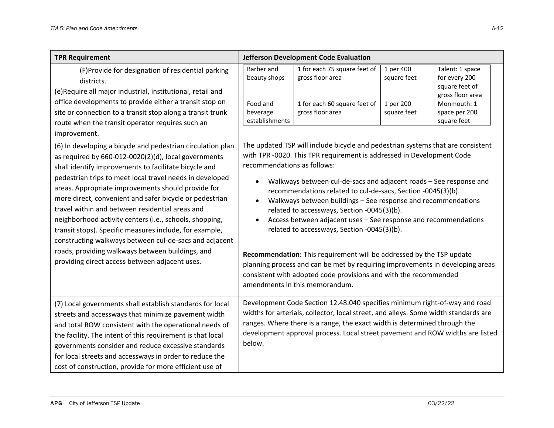| <b>TPR Requirement</b>                                                                                                                                                                                                                                                                                                                                                                                                                                                                                                                                                                                                                                                                             |                                        | Jefferson Development Code Evaluation                                                                                                                                                                                                                                                                                                                                                                                                                                                                                                                                                                                                                                                                                                                                                           |                          |                                                                        |
|----------------------------------------------------------------------------------------------------------------------------------------------------------------------------------------------------------------------------------------------------------------------------------------------------------------------------------------------------------------------------------------------------------------------------------------------------------------------------------------------------------------------------------------------------------------------------------------------------------------------------------------------------------------------------------------------------|----------------------------------------|-------------------------------------------------------------------------------------------------------------------------------------------------------------------------------------------------------------------------------------------------------------------------------------------------------------------------------------------------------------------------------------------------------------------------------------------------------------------------------------------------------------------------------------------------------------------------------------------------------------------------------------------------------------------------------------------------------------------------------------------------------------------------------------------------|--------------------------|------------------------------------------------------------------------|
| (F)Provide for designation of residential parking<br>districts.<br>(e)Require all major industrial, institutional, retail and                                                                                                                                                                                                                                                                                                                                                                                                                                                                                                                                                                      | Barber and<br>beauty shops             | 1 for each 75 square feet of<br>gross floor area                                                                                                                                                                                                                                                                                                                                                                                                                                                                                                                                                                                                                                                                                                                                                | 1 per 400<br>square feet | Talent: 1 space<br>for every 200<br>square feet of<br>gross floor area |
| office developments to provide either a transit stop on<br>site or connection to a transit stop along a transit trunk<br>route when the transit operator requires such an<br>improvement.                                                                                                                                                                                                                                                                                                                                                                                                                                                                                                          | Food and<br>beverage<br>establishments | 1 for each 60 square feet of<br>gross floor area                                                                                                                                                                                                                                                                                                                                                                                                                                                                                                                                                                                                                                                                                                                                                | 1 per 200<br>square feet | Monmouth: 1<br>space per 200<br>square feet                            |
| (6) In developing a bicycle and pedestrian circulation plan<br>as required by 660-012-0020(2)(d), local governments<br>shall identify improvements to facilitate bicycle and<br>pedestrian trips to meet local travel needs in developed<br>areas. Appropriate improvements should provide for<br>more direct, convenient and safer bicycle or pedestrian<br>travel within and between residential areas and<br>neighborhood activity centers (i.e., schools, shopping,<br>transit stops). Specific measures include, for example,<br>constructing walkways between cul-de-sacs and adjacent<br>roads, providing walkways between buildings, and<br>providing direct access between adjacent uses. | recommendations as follows:            | The updated TSP will include bicycle and pedestrian systems that are consistent<br>with TPR -0020. This TPR requirement is addressed in Development Code<br>Walkways between cul-de-sacs and adjacent roads - See response and<br>recommendations related to cul-de-sacs, Section -0045(3)(b).<br>Walkways between buildings - See response and recommendations<br>related to accessways, Section -0045(3)(b).<br>Access between adjacent uses - See response and recommendations<br>related to accessways, Section -0045(3)(b).<br>Recommendation: This requirement will be addressed by the TSP update<br>planning process and can be met by requiring improvements in developing areas<br>consistent with adopted code provisions and with the recommended<br>amendments in this memorandum. |                          |                                                                        |
| (7) Local governments shall establish standards for local<br>streets and accessways that minimize pavement width<br>and total ROW consistent with the operational needs of<br>the facility. The intent of this requirement is that local<br>governments consider and reduce excessive standards<br>for local streets and accessways in order to reduce the<br>cost of construction, provide for more efficient use of                                                                                                                                                                                                                                                                              | below.                                 | Development Code Section 12.48.040 specifies minimum right-of-way and road<br>widths for arterials, collector, local street, and alleys. Some width standards are<br>ranges. Where there is a range, the exact width is determined through the<br>development approval process. Local street pavement and ROW widths are listed                                                                                                                                                                                                                                                                                                                                                                                                                                                                 |                          |                                                                        |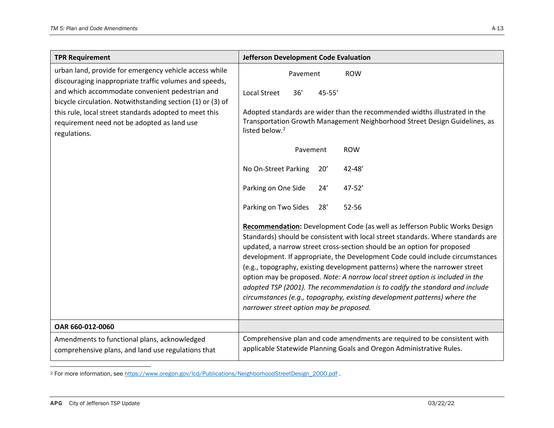| <b>TPR Requirement</b>                                                                                                | Jefferson Development Code Evaluation                                                                                                                                                                                                                                                                                                                                                                                                                                                                                                                                                                                                                                                              |
|-----------------------------------------------------------------------------------------------------------------------|----------------------------------------------------------------------------------------------------------------------------------------------------------------------------------------------------------------------------------------------------------------------------------------------------------------------------------------------------------------------------------------------------------------------------------------------------------------------------------------------------------------------------------------------------------------------------------------------------------------------------------------------------------------------------------------------------|
| urban land, provide for emergency vehicle access while<br>discouraging inappropriate traffic volumes and speeds,      | <b>ROW</b><br>Pavement                                                                                                                                                                                                                                                                                                                                                                                                                                                                                                                                                                                                                                                                             |
| and which accommodate convenient pedestrian and<br>bicycle circulation. Notwithstanding section (1) or (3) of         | <b>Local Street</b><br>36'<br>45-55'                                                                                                                                                                                                                                                                                                                                                                                                                                                                                                                                                                                                                                                               |
| this rule, local street standards adopted to meet this<br>requirement need not be adopted as land use<br>regulations. | Adopted standards are wider than the recommended widths illustrated in the<br>Transportation Growth Management Neighborhood Street Design Guidelines, as<br>listed below. <sup>2</sup>                                                                                                                                                                                                                                                                                                                                                                                                                                                                                                             |
|                                                                                                                       | Pavement<br><b>ROW</b>                                                                                                                                                                                                                                                                                                                                                                                                                                                                                                                                                                                                                                                                             |
|                                                                                                                       | No On-Street Parking<br>$42 - 48'$<br>20'                                                                                                                                                                                                                                                                                                                                                                                                                                                                                                                                                                                                                                                          |
|                                                                                                                       | Parking on One Side<br>$47 - 52'$<br>24'                                                                                                                                                                                                                                                                                                                                                                                                                                                                                                                                                                                                                                                           |
|                                                                                                                       | Parking on Two Sides<br>28'<br>$52 - 56$                                                                                                                                                                                                                                                                                                                                                                                                                                                                                                                                                                                                                                                           |
|                                                                                                                       | Recommendation: Development Code (as well as Jefferson Public Works Design<br>Standards) should be consistent with local street standards. Where standards are<br>updated, a narrow street cross-section should be an option for proposed<br>development. If appropriate, the Development Code could include circumstances<br>(e.g., topography, existing development patterns) where the narrower street<br>option may be proposed. Note: A narrow local street option is included in the<br>adopted TSP (2001). The recommendation is to codify the standard and include<br>circumstances (e.g., topography, existing development patterns) where the<br>narrower street option may be proposed. |
| OAR 660-012-0060                                                                                                      |                                                                                                                                                                                                                                                                                                                                                                                                                                                                                                                                                                                                                                                                                                    |
| Amendments to functional plans, acknowledged<br>comprehensive plans, and land use regulations that                    | Comprehensive plan and code amendments are required to be consistent with<br>applicable Statewide Planning Goals and Oregon Administrative Rules.                                                                                                                                                                                                                                                                                                                                                                                                                                                                                                                                                  |

<sup>&</sup>lt;sup>2</sup> For more information, see https://www.oregon.gov/lcd/Publications/NeighborhoodStreetDesign\_2000.pdf .